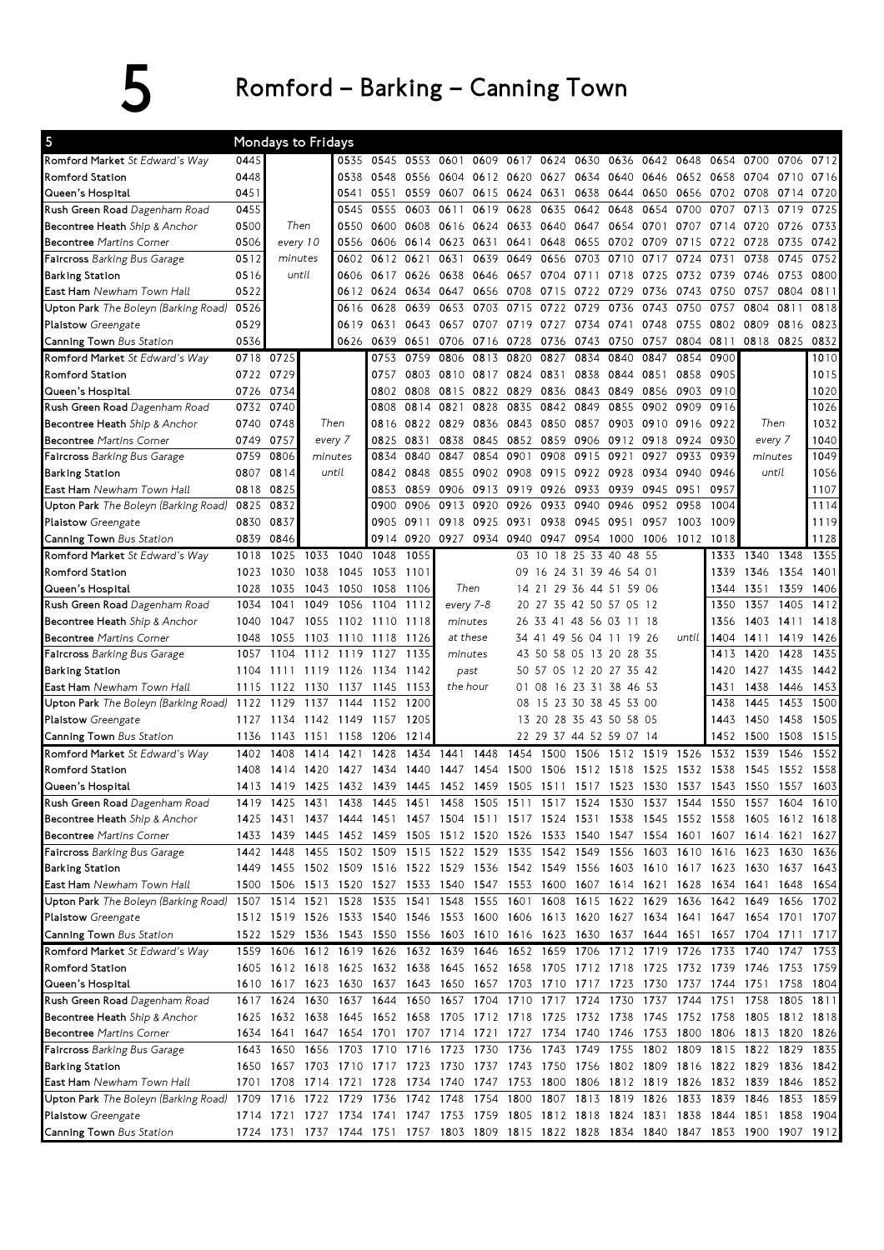## 5 Romford – Barking – Canning Town

| 5                                                                       |           | Mondays to Fridays       |              |           |      |           |                                                                            |           |           |          |                               |                          |           |           |           |                                                                                           |                |      |
|-------------------------------------------------------------------------|-----------|--------------------------|--------------|-----------|------|-----------|----------------------------------------------------------------------------|-----------|-----------|----------|-------------------------------|--------------------------|-----------|-----------|-----------|-------------------------------------------------------------------------------------------|----------------|------|
| <b>Romford Market</b> St Edward's Way                                   | 0445      |                          |              | 0535      | 0545 | 0553      | 0601                                                                       |           |           |          | 0609 0617 0624 0630           | 0636                     | 0642      | 0648      | 0654      | 0700                                                                                      | 0706           | 0712 |
| Romford Station                                                         | 0448      |                          |              | 0538      | 0548 | 0556      | 0604 0612 0620                                                             |           |           |          | 0627 0634 0640                |                          | 0646      | 0652 0658 |           | 0704                                                                                      | 0710           | 0716 |
| Queen's Hospital                                                        | 0451      |                          |              | 0541      | 0551 | 0559      | 0607                                                                       | 0615 0624 |           | 0631     |                               | 0638 0644                | 0650      | 0656      | 0702      | 0708                                                                                      | 0714           | 0720 |
| <b>Rush Green Road</b> Dagenham Road                                    | 0455      |                          |              | 0545      | 0555 | 0603      | 0611                                                                       |           | 0619 0628 | 0635     | 0642 0648                     |                          | 0654      | 0700      | 0707      | 0713                                                                                      | 0719           | 0725 |
| <b>Becontree Heath</b> Ship & Anchor                                    | 0500      | Then                     |              | 0550      | 0600 | 0608      | 0616                                                                       | 0624 0633 |           |          | 0640 0647                     | 0654                     | 0701      | 0707      | 0714      | 0720                                                                                      | 0726           | 0733 |
| <b>Becontree</b> Martins Corner                                         | 0506      | every 10                 |              | 0556      | 0606 | 0614 0623 |                                                                            | 0631      | 0641      | 0648     | 0655 0702                     |                          | 0709      | 0715      | 0722      | 0728                                                                                      | 0735           | 0742 |
| <b>Faircross</b> Barking Bus Garage                                     | 0512      | minutes                  |              | 0602      | 0612 | 0621      | 0631                                                                       | 0639      | 0649      | 0656     | 0703                          | 0710                     | 0717      | 0724      | 0731      | 0738                                                                                      | 0745           | 0752 |
| Barking Station                                                         | 0516      | until                    |              | 0606      | 0617 | 0626      | 0638                                                                       | 0646      | 0657      | 0704     | 0711                          | 0718                     | 0725      | 0732      | 0739      | 0746                                                                                      | 0753           | 0800 |
| <b>East Ham</b> Newham Town Hall                                        | 0522      |                          |              | 0612      | 0624 | 0634      | 0647                                                                       |           | 0656 0708 | 0715     | 0722                          | 0729                     | 0736      | 0743      | 0750      | 0757                                                                                      | 0804           | 0811 |
| Upton Park The Boleyn (Barking Road)                                    | 0526      |                          |              | 0616      | 0628 | 0639      | 0653                                                                       | 0703      | 0715      | 0722     | 0729                          | 0736                     | 0743      | 0750      | 0757      | 0804                                                                                      | 0811           | 0818 |
| Plaistow Greengate                                                      | 0529      |                          |              | 0619      | 0631 | 0643      | 0657                                                                       | 0707      | 0719      | 0727     | 0734                          | 0741                     | 0748      | 0755      | 0802      | 0809                                                                                      | 0816           | 0823 |
| <b>Canning Town</b> Bus Station                                         | 0536      |                          |              | 0626      | 0639 | 0651      | 0706                                                                       | 0716 0728 |           | 0736     | 0743                          | 0750                     | 0757      |           | 0804 0811 |                                                                                           | 0818 0825      | 0832 |
| Romford Market St Edward's Way                                          |           | 0718 0725                |              |           | 0753 | 0759      | 0806                                                                       | 0813      | 0820      | 0827     | 0834                          | 0840                     | 0847      | 0854      | 0900      |                                                                                           |                | 1010 |
| Romford Station                                                         | 0722 0729 |                          |              |           | 0757 | 0803      | 0810                                                                       | 0817 0824 |           | 0831     | 0838                          | 0844                     | 0851      | 0858      | 0905      |                                                                                           |                | 1015 |
| Queen's Hospital                                                        | 0726      | 0734                     |              |           | 0802 | 0808      | 0815                                                                       | 0822 0829 |           | 0836     | 0843                          | 0849                     | 0856      | 0903      | 0910      |                                                                                           |                | 1020 |
| <b>Rush Green Road</b> Dagenham Road                                    | 0732      | 0740                     |              |           | 0808 | 0814      | 0821                                                                       | 0828      | 0835      | 0842     | 0849                          | 0855                     | 0902      | 0909      | 0916      |                                                                                           |                | 1026 |
| Becontree Heath Ship & Anchor                                           | 0740      | 0748                     |              | Then      | 0816 | 0822      | 0829                                                                       | 0836      | 0843      | 0850     | 0857                          | 0903                     | 0910      | 0916      | 0922      | Then                                                                                      |                | 1032 |
| <b>Becontree</b> Martins Corner                                         | 0749      | 0757                     |              | every 7   | 0825 | 0831      | 0838                                                                       | 0845      | 0852      | 0859     | 0906                          | 0912                     | 0918      | 0924      | 0930      |                                                                                           | every 7        | 1040 |
| Faircross Barking Bus Garage                                            | 0759      | 0806                     |              | minutes   | 0834 | 0840      | 0847                                                                       | 0854      | 0901      | 0908     | 0915                          | 0921                     | 0927      | 0933      | 0939      | minutes                                                                                   |                | 1049 |
| Barking Station                                                         | 0807      | 0814                     |              | until     | 0842 | 0848      | 0855                                                                       | 0902 0908 |           |          | 0915 0922 0928                |                          |           | 0934 0940 | 0946      |                                                                                           | until          | 1056 |
| <b>East Ham</b> Newham Town Hall                                        | 0818      | 0825                     |              |           | 0853 | 0859      | 0906                                                                       | 0913      | 0919      | 0926     | 0933                          | 0939                     | 0945 0951 |           | 0957      |                                                                                           |                | 1107 |
| Upton Park The Boleyn (Barking Road) 0825                               |           | 0832                     |              |           | 0900 | 0906      | 0913                                                                       | 0920 0926 |           | 0933     | 0940                          | 0946                     | 0952 0958 |           | 1004      |                                                                                           |                | 1114 |
| Plaistow Greengate                                                      | 0830      | 0837                     |              |           |      | 0905 0911 | 0918                                                                       | 0925 0931 |           | 0938     | 0945                          | 0951                     | 0957      | 1003      | 1009      |                                                                                           |                | 1119 |
| <b>Canning Town</b> Bus Station                                         | 0839      | 0846                     |              |           | 0914 | 0920      |                                                                            |           |           |          | 0927 0934 0940 0947 0954 1000 |                          |           | 1006 1012 | 1018      |                                                                                           |                | 1128 |
| Romford Market St Edward's Way                                          | 1018      | 1025                     | 1033         | 1040      | 1048 | 1055      |                                                                            |           | 03        | 18<br>10 | 25 33                         | 40 48 55                 |           |           | 1333      | 1340                                                                                      | 1348           | 1355 |
| Romford Station                                                         | 1023      | 1030                     | 1038         | 1045      | 1053 | 1101      |                                                                            |           |           |          |                               | 09 16 24 31 39 46 54 01  |           |           | 1339      | 1346                                                                                      | 1354           | 1401 |
| Queen's Hospital                                                        | 1028      | 1035                     | 1043         | 1050      | 1058 | -1106     | Then                                                                       |           |           |          |                               | 14 21 29 36 44 51 59 06  |           |           | 1344      |                                                                                           | 1351 1359      | 1406 |
|                                                                         | 1034      | 1041                     | 1049         | 1056      | 1104 | 1112      | every 7-8                                                                  |           |           |          |                               | 20 27 35 42 50 57 05 12  |           |           | 1350      | 1357                                                                                      | 1405           | 1412 |
| <b>Rush Green Road</b> Dagenham Road                                    | 1040      | 1047                     | 1055         | 1102 1110 |      | 1118      | minutes                                                                    |           |           |          |                               | 26 33 41 48 56 03 11 18  |           |           | 1356      | 1403                                                                                      | 1411           | 1418 |
| <b>Becontree Heath</b> Ship & Anchor<br><b>Becontree Martins Corner</b> | 1048      | 1055                     | 1103         | 1110      | 1118 | 1126      | at these                                                                   |           | 34 41     |          |                               | 49 56 04 11 19           | -26       | until     | 1404      | 1411                                                                                      | 1419           | 1426 |
|                                                                         | 1057      | 1104                     | 1112         | 1119      | 1127 | 1135      | minutes                                                                    |           | 43 50     |          |                               | 58 05 13 20 28 35        |           |           | 1413      | 1420                                                                                      | 1428           | 1435 |
| <b>Faircross</b> Barking Bus Garage<br><b>Barking Station</b>           | 1104      | 1111                     |              | 1119 1126 | 1134 | 1142      | past                                                                       |           |           |          |                               | 50 57 05 12 20 27 35 42  |           |           | 1420      | 1427                                                                                      | 1435           | 1442 |
| <b>East Ham</b> Newham Town Hall                                        | 1115      | 1122                     |              | 1137      | 1145 | 1153      | the hour                                                                   |           | 01 08     |          |                               | 16 23 31 38 46 53        |           |           | 1431      | 1438                                                                                      |                | 1453 |
| <b>Upton Park</b> The Boleyn (Barking Road)                             | 1122      | 1129                     | 1130<br>1137 | 1144      | 1152 | 1200      |                                                                            |           |           |          |                               | 08 15 23 30 38 45 53 00  |           |           | 1438      | 1445                                                                                      | 1446<br>1453   | 1500 |
|                                                                         | 1127      | 1134                     | 1142         | 1149      | 1157 | 1205      |                                                                            |           |           |          |                               | 13 20 28 35 43 50 58 05  |           |           | 1443      | 1450                                                                                      | 1458           | 1505 |
| Plaistow Greengate                                                      |           |                          |              |           |      |           |                                                                            |           |           |          |                               |                          |           |           |           |                                                                                           |                |      |
| <b>Canning Town</b> Bus Station                                         | 1136      | 1143                     | 1151         | 1158      | 1206 | 1214      |                                                                            |           |           |          |                               | 22 29 37 44 52 59 07 14  |           |           | 1452      | 1500                                                                                      | 1508           | 1515 |
| Romford Market St Edward's Way                                          | 1402      | 1408                     | 1414         | 1421      | 1428 | 1434      | 1441                                                                       | 1448      | 1454      | 1500     | 1506                          | 1512                     | 1519      | 1526      | 1532      | 1539                                                                                      | 1546           | 1552 |
| Romford Station                                                         | 1408      | 1414                     | 1420         | 1427      | 1434 | 1440      | 1447                                                                       | 1454      | 1500      | 1506     | 1512                          | 1518                     | 1525      | 1532      | 1538      | 1545                                                                                      | 1552           | 1558 |
| Queen's Hospital                                                        |           | 1413 1419 1425 1432 1439 |              |           |      | 1445      | 1452 1459                                                                  |           | 1505      |          |                               | 1511 1517 1523 1530 1537 |           |           |           | 1543 1550                                                                                 | 1557           | 1603 |
| <b>Rush Green Road</b> Dagenham Road                                    |           |                          |              |           |      |           |                                                                            |           |           |          |                               |                          |           |           |           | 1419 1425 1431 1438 1445 1451 1458 1505 1511 1517 1524 1530 1537 1544 1550 1557 1604 1610 |                |      |
| <b>Becontree Heath</b> Ship & Anchor                                    |           |                          |              |           |      |           |                                                                            |           |           |          |                               |                          |           |           |           | 1425 1431 1437 1444 1451 1457 1504 1511 1517 1524 1531 1538 1545 1552 1558 1605 1612 1618 |                |      |
| <b>Becontree</b> Martins Corner                                         |           |                          |              |           |      |           |                                                                            |           |           |          |                               |                          |           |           |           | 1433 1439 1445 1452 1459 1505 1512 1520 1526 1533 1540 1547 1554 1601 1607 1614 1621 1627 |                |      |
| <b>Faircross</b> Barking Bus Garage                                     |           | 1442 1448                |              |           |      |           |                                                                            |           |           |          |                               |                          |           |           |           | 1455 1502 1509 1515 1522 1529 1535 1542 1549 1556 1603 1610 1616 1623 1630 1636           |                |      |
| Barking Station                                                         |           |                          |              |           |      |           |                                                                            |           |           |          |                               |                          |           |           |           | 1449 1455 1502 1509 1516 1522 1529 1536 1542 1549 1556 1603 1610 1617 1623 1630 1637 1643 |                |      |
| East Ham Newham Town Hall                                               |           |                          |              |           |      |           |                                                                            |           |           |          |                               |                          |           |           |           | 1500 1506 1513 1520 1527 1533 1540 1547 1553 1600 1607 1614 1621 1628 1634 1641 1648 1654 |                |      |
| <b>Upton Park</b> The Boleyn (Barking Road)                             |           |                          |              |           |      |           |                                                                            |           |           |          |                               |                          |           |           |           | 1507 1514 1521 1528 1535 1541 1548 1555 1601 1608 1615 1622 1629 1636 1642 1649 1656 1702 |                |      |
| Plaistow Greengate                                                      |           |                          |              |           |      |           |                                                                            |           |           |          |                               |                          |           |           |           | 1512 1519 1526 1533 1540 1546 1553 1600 1606 1613 1620 1627 1634 1641 1647 1654 1701 1707 |                |      |
| <b>Canning Town</b> Bus Station                                         |           |                          |              |           |      |           |                                                                            |           |           |          |                               |                          |           |           |           | 1522 1529 1536 1543 1550 1556 1603 1610 1616 1623 1630 1637 1644 1651 1657 1704 1711 1717 |                |      |
| Romford Market St Edward's Way                                          |           |                          |              |           |      |           |                                                                            |           |           |          |                               |                          |           |           |           | 1559 1606 1612 1619 1626 1632 1639 1646 1652 1659 1706 1712 1719 1726 1733 1740 1747 1753 |                |      |
| Romford Station                                                         |           |                          |              |           |      |           |                                                                            |           |           |          |                               |                          |           |           |           | 1605 1612 1618 1625 1632 1638 1645 1652 1658 1705 1712 1718 1725 1732 1739 1746 1753 1759 |                |      |
| Queen's Hospital                                                        |           |                          |              |           |      |           |                                                                            |           |           |          |                               |                          |           |           |           | 1610 1617 1623 1630 1637 1643 1650 1657 1703 1710 1717 1723 1730 1737 1744 1751 1758 1804 |                |      |
| <b>Rush Green Road</b> Dagenham Road                                    |           |                          |              |           |      |           | 1617 1624 1630 1637 1644 1650 1657 1704 1710 1717 1724 1730 1737 1744 1751 |           |           |          |                               |                          |           |           |           |                                                                                           | 1758 1805 1811 |      |
| <b>Becontree Heath</b> Ship & Anchor                                    |           |                          |              |           |      |           |                                                                            |           |           |          |                               |                          |           |           |           | 1625 1632 1638 1645 1652 1658 1705 1712 1718 1725 1732 1738 1745 1752 1758 1805 1812 1818 |                |      |
| <b>Becontree</b> Martins Corner                                         |           |                          |              |           |      |           |                                                                            |           |           |          |                               |                          |           |           |           | 1634 1641 1647 1654 1701 1707 1714 1721 1727 1734 1740 1746 1753 1800 1806 1813 1820 1826 |                |      |
| Faircross Barking Bus Garage                                            |           |                          |              |           |      |           |                                                                            |           |           |          |                               |                          |           |           |           | 1643 1650 1656 1703 1710 1716 1723 1730 1736 1743 1749 1755 1802 1809 1815 1822 1829 1835 |                |      |
| Barking Station                                                         |           |                          |              |           |      |           |                                                                            |           |           |          |                               |                          |           |           |           | 1650 1657 1703 1710 1717 1723 1730 1737 1743 1750 1756 1802 1809 1816 1822 1829 1836 1842 |                |      |
| <b>East Ham</b> Newham Town Hall                                        |           | 1701 1708                |              |           |      |           |                                                                            |           |           |          |                               |                          |           |           |           | 1714 1721 1728 1734 1740 1747 1753 1800 1806 1812 1819 1826 1832 1839 1846 1852           |                |      |
| <b>Upton Park</b> The Boleyn (Barking Road)                             |           | 1709 1716                |              |           |      |           | 1722 1729 1736 1742 1748 1754 1800 1807 1813 1819 1826 1833                |           |           |          |                               |                          |           |           |           | 1839 1846 1853 1859                                                                       |                |      |
| Plaistow Greengate                                                      |           |                          |              |           |      |           |                                                                            |           |           |          |                               |                          |           |           |           | 1714 1721 1727 1734 1741 1747 1753 1759 1805 1812 1818 1824 1831 1838 1844 1851 1858 1904 |                |      |
| Canning Town Bus Station                                                |           |                          |              |           |      |           |                                                                            |           |           |          |                               |                          |           |           |           | 1724 1731 1737 1744 1751 1757 1803 1809 1815 1822 1828 1834 1840 1847 1853 1900 1907 1912 |                |      |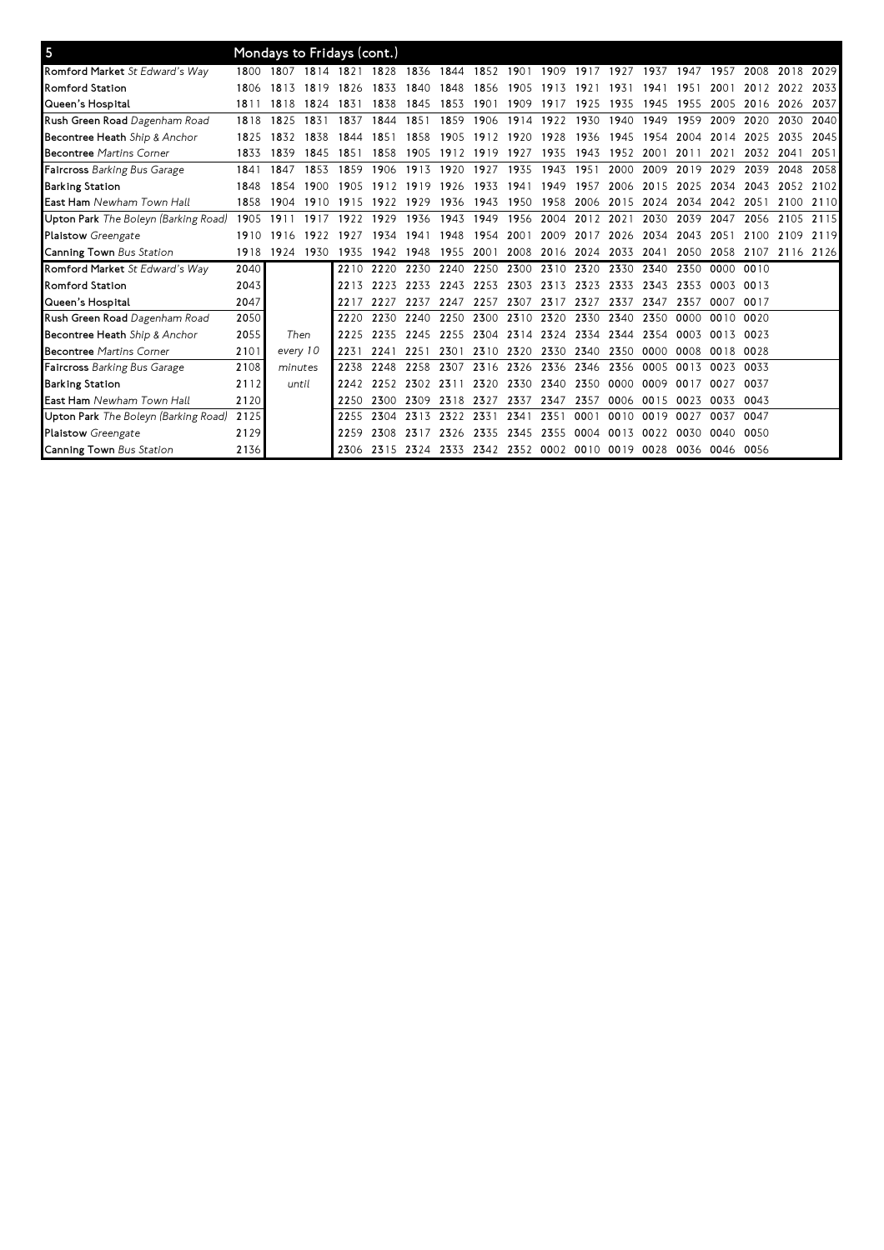| 5                                    |      |          |      | Mondays to Fridays (cont.) |                |                |                                              |                               |                |                          |           |                |           |      |                |                     |      |      |
|--------------------------------------|------|----------|------|----------------------------|----------------|----------------|----------------------------------------------|-------------------------------|----------------|--------------------------|-----------|----------------|-----------|------|----------------|---------------------|------|------|
| Romford Market St Edward's Way       | 1800 | 1807     | 1814 | 1821                       | 1828           | 1836           | 1844                                         |                               | 1852 1901      |                          |           | 1909 1917 1927 | 1937 1947 |      | 1957           | 2008                | 2018 | 2029 |
| <b>Romford Station</b>               | 1806 | 1813     | 1819 | 1826                       | 1833           | 1840           | 1848                                         | 1856                          | 1905           | 1913                     | 1921      | 1931           | 1941      | 1951 | 2001           | 2012                | 2022 | 2033 |
| Queen's Hospital                     | 1811 | 1818     | 1824 | 1831                       | 1838           | 1845           | 1853                                         | 1901                          | 1909           | 1917                     | 1925      | 1935           | 1945      | 1955 | 2005           | 2016                | 2026 | 2037 |
| Rush Green Road Dagenham Road        | 1818 | 1825     | 1831 | 1837                       | 1844           | 1851           | 1859                                         | 1906                          | 1914           | 1922                     | 1930      | 1940           | 1949      | 1959 | 2009           | 2020                | 2030 | 2040 |
| <b>Becontree Heath</b> Ship & Anchor | 1825 | 1832     | 1838 | 1844                       | 1851           | 1858           | 1905                                         | 1912 1920                     |                | 1928                     | 1936      | 1945           | 1954      | 2004 | 2014           | 2025                | 2035 | 2045 |
| <b>Becontree Martins Corner</b>      | 1833 | 1839     | 1845 | 1851                       | 18.58          | 1905           | 1912 1919                                    |                               | 1927           | 1935                     | 1943      | 1952           | 2001      | 2011 | 2021           | 2032                | 2041 | 2051 |
| <b>Faircross</b> Barking Bus Garage  | 1841 | 1847     | 1853 | 1859                       | 1906           | 1913           | 1920                                         | 1927                          | 1935           | 1943                     | 1951      | 2000           | 2009      | 2019 | 2029           | 2039                | 2048 | 2058 |
| <b>Barking Station</b>               | 1848 | 1854     | 1900 | 1905                       | 1912           | 1919           | 1926                                         | 1933                          | 1941           | 1949                     | 1957      | 2006           | 2015      | 2025 | 2034           | 2043                | 2052 | 2102 |
| East Ham Newham Town Hall            | 1858 | 1904     | 1910 | 1915                       | 1922           | 1929           | 1936                                         | 1943 1950                     |                | 1958                     |           | 2006 2015 2024 |           | 2034 | 2042           | 2051                | 2100 | 2110 |
| Upton Park The Boleyn (Barking Road) | 1905 | 1911     | 1917 | 1922                       | 1929           | 1936           | 1943                                         | 1949                          | 1956 2004      |                          | 2012      | 2021           | 2030      | 2039 | 2047           | 2056                | 2105 | 2115 |
| <b>Plaistow</b> Greengate            | 1910 | 1916     | 1922 | 1927                       | 1934           | 1941           | 1948                                         | 1954                          | 2001           |                          | 2009 2017 | 2026           | 2034      | 2043 | 2051           | 2100                | 2109 | 2119 |
| Canning Town Bus Station             | 1918 | 1924     | 1930 | 1935                       | 1942           | 1948           | 1955                                         | 2001                          |                | 2008 2016 2024 2033 2041 |           |                |           | 2050 |                | 2058 2107 2116 2126 |      |      |
| Romford Market St Edward's Way       | 2040 |          |      | 2210                       |                |                | 2220 2230 2240 2250 2300 2310 2320 2330 2340 |                               |                |                          |           |                |           | 2350 | 0000 0010      |                     |      |      |
| <b>Romford Station</b>               | 2043 |          |      |                            | 2213 2223 2233 |                | 2243                                         | 2253                          |                | 2303 2313 2323 2333      |           |                | 2343      | 2353 | 0003 0013      |                     |      |      |
| Queen's Hospital                     | 2047 |          |      | 2217                       | 2227           | 2237 2247      |                                              | 2257                          |                | 2307 2317 2327 2337 2347 |           |                |           | 2357 | 0007           | 0017                |      |      |
| Rush Green Road Dagenham Road        | 2050 |          |      | 2220                       |                | 2230 2240 2250 |                                              | 2300                          | 2310 2320      |                          |           | 2330 2340 2350 |           | 0000 | 0010 0020      |                     |      |      |
| Becontree Heath Ship & Anchor        | 2055 | Then     |      | 2225                       |                | 2235 2245 2255 |                                              | 2304                          |                | 2314 2324 2334 2344 2354 |           |                |           | 0003 | 0013 0023      |                     |      |      |
| <b>Becontree Martins Corner</b>      | 2101 | every 10 |      | 2231                       | 2241           | 2251           | 2301                                         |                               | 2310 2320 2330 |                          |           | 2340 2350 0000 |           | 0008 | 0018 0028      |                     |      |      |
| <b>Faircross</b> Barking Bus Garage  | 2108 | minutes  |      | 2238                       | 2248           | 2258           | 2307                                         |                               | 2316 2326 2336 |                          |           | 2346 2356 0005 |           | 0013 | 0023 0033      |                     |      |      |
| <b>Barking Station</b>               | 2112 | until    |      | 2242                       | 2252           | 2302           | 2311                                         |                               | 2320 2330 2340 |                          |           | 2350 0000 0009 |           | 0017 | 0027           | 0037                |      |      |
| <b>East Ham</b> Newham Town Hall     | 2120 |          |      | 2250                       | 2300           | 2309           | 2318                                         | 2327                          | 2337           | 2347                     | 2357      |                | 0006 0015 | 0023 | 0033 0043      |                     |      |      |
| Upton Park The Boleyn (Barking Road) | 2125 |          |      | 2255                       | 2304           | 2313           | 2322                                         | 2331                          | 2341           | 2351                     | 0001      | 0010           | 0019      | 0027 | 0037           | 0047                |      |      |
| <b>Plaistow</b> Greengate            | 2129 |          |      | 2259                       | 2308           | 2317           | 2326                                         | 2335                          | 2345           | 2355                     | 0004      | 0013           | 0022      | 0030 | 0040           | 0050                |      |      |
| Canning Town Bus Station             | 2136 |          |      | 2306                       |                | 2315 2324 2333 |                                              | 2342 2352 0002 0010 0019 0028 |                |                          |           |                |           |      | 0036 0046 0056 |                     |      |      |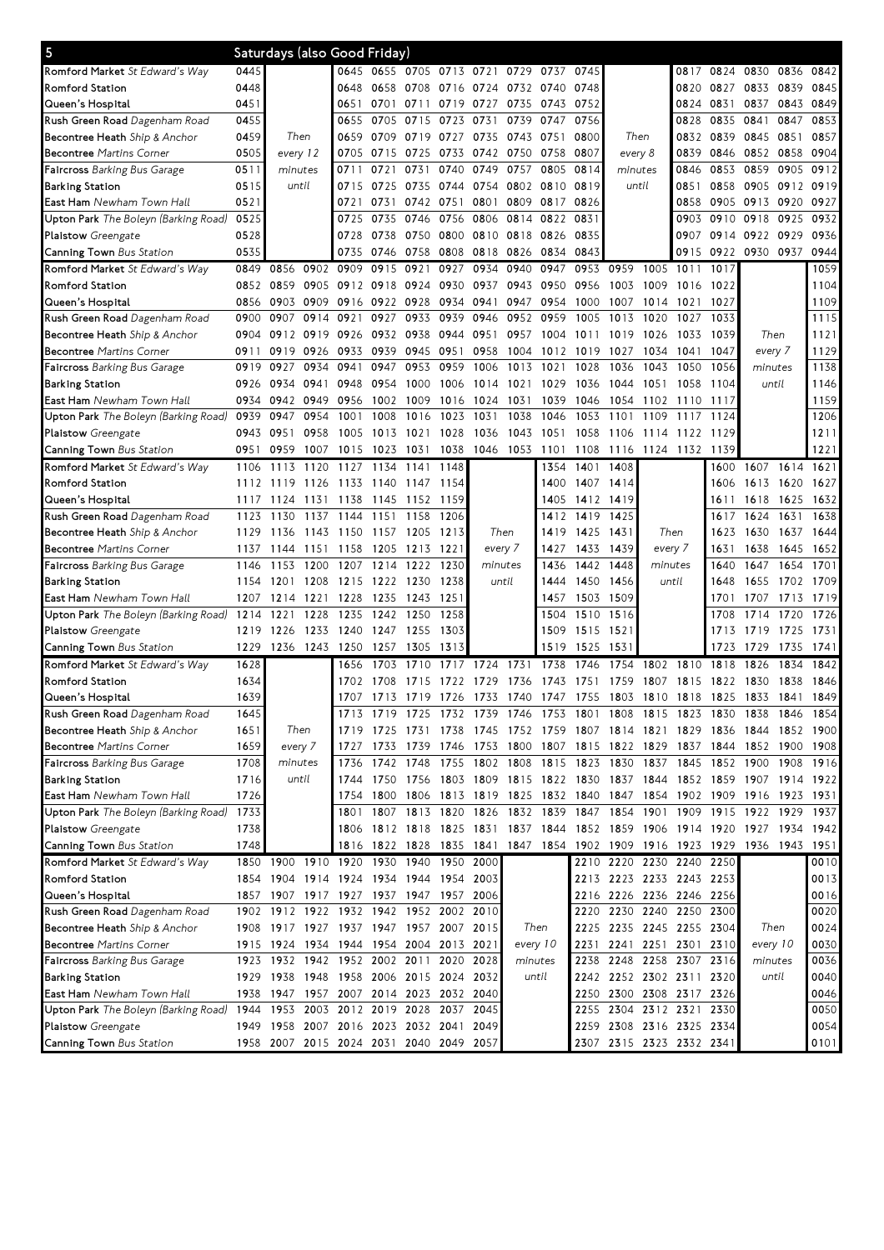| 5                                                               |      |                 |      | Saturdays (also Good Friday)            |           |                |                               |           |           |          |                |                                                                                                        |                     |      |      |                     |           |              |
|-----------------------------------------------------------------|------|-----------------|------|-----------------------------------------|-----------|----------------|-------------------------------|-----------|-----------|----------|----------------|--------------------------------------------------------------------------------------------------------|---------------------|------|------|---------------------|-----------|--------------|
| Romford Market St Edward's Way                                  | 0445 |                 |      |                                         |           |                | 0645 0655 0705 0713 0721      |           | 0729      | 0737     | 0745           |                                                                                                        |                     | 0817 |      | 0824 0830           | 0836      | 0842         |
| <b>Romford Station</b>                                          | 0448 |                 |      | 0648                                    | 0658      | 0708           | 0716                          | 0724 0732 |           | 0740     | 0748           |                                                                                                        |                     | 0820 | 0827 | 0833                | 0839      | 0845         |
| Queen's Hospital                                                | 0451 |                 |      | 0651                                    | 0701      | 0711           | 0719                          | 0727      | 0735      | 0743     | 0752           |                                                                                                        |                     | 0824 | 0831 | 0837                | 0843      | 0849         |
| Rush Green Road Dagenham Road                                   | 0455 |                 |      | 0655                                    | 0705      | 0715           | 0723                          | 0731      | 0739      | 0747     | 0756           |                                                                                                        |                     | 0828 | 0835 | 0841                | 0847      | 0853         |
| Becontree Heath Ship & Anchor                                   | 0459 | Then            |      | 0659                                    | 0709      | 0719           | 0727                          |           | 0735 0743 | 0751     | 0800           | Then                                                                                                   |                     | 0832 | 0839 | 0845                | 0851      | 0857         |
| <b>Becontree Martins Corner</b>                                 | 0505 | every 12        |      | 0705                                    | 0715      | 0725           | 0733                          |           | 0742 0750 | 0758     | 0807           | every 8                                                                                                |                     | 0839 | 0846 | 0852                | 0858      | 0904         |
| <b>Faircross</b> Barking Bus Garage                             | 0511 | minutes         |      | 0711                                    | 0721      | 0731           | 0740                          | 0749      | 0757      | 0805     | 0814           | minutes                                                                                                |                     | 0846 | 0853 | 0859                | 0905      | 0912         |
| <b>Barking Station</b>                                          | 0515 | until           |      | 0715                                    | 0725      | 0735           | 0744                          |           | 0754 0802 |          | 0810 0819      | until                                                                                                  |                     | 0851 | 0858 | 0905                | 0912      | 0919         |
| East Ham Newham Town Hall                                       | 0521 |                 |      | 0721                                    | 0731      | 0742           | 0751                          | 0801      | 0809      | 0817     | 0826           |                                                                                                        |                     | 0858 | 0905 | 0913                | 0920      | 0927         |
| Upton Park The Boleyn (Barking Road)                            | 0525 |                 |      | 0725                                    | 0735      | 0746           | 0756                          | 0806      | 0814      | 0822     | 0831           |                                                                                                        |                     | 0903 | 0910 | 0918                | 0925      | 0932         |
| Plaistow Greengate                                              | 0528 |                 |      | 0728                                    | 0738      | 0750           | 0800                          | 0810 0818 |           | 0826     | 0835           |                                                                                                        |                     | 0907 | 0914 | 0922 0929           |           | 0936         |
| Canning Town Bus Station                                        | 0535 |                 |      | 0735                                    | 0746      | 0758           | 0808                          |           | 0818 0826 | 0834     | 0843           |                                                                                                        |                     | 0915 | 0922 | 0930 0937           |           | 0944         |
| Romford Market St Edward's Way                                  | 0849 | 0856            | 0902 | 0909                                    | 0915      | 0921           | 0927                          | 0934      | 0940      | 0947     | 0953           | 0959                                                                                                   | 1005                | 1011 | 1017 |                     |           | 1059         |
| Romford Station                                                 | 0852 | 0859            | 0905 | 0912                                    | 0918      | 0924           | 0930                          | 0937      | 0943      | 0950     | 0956           | 1003                                                                                                   | 1009                | 1016 | 1022 |                     |           | 1104         |
| Queen's Hospital                                                | 0856 | 0903            | 0909 | 0916                                    | 0922 0928 |                | 0934                          | 0941      | 0947      | 0954     | 1000           | 1007                                                                                                   | 1014                | 1021 | 1027 |                     |           | 1109         |
| Rush Green Road Dagenham Road                                   | 0900 | 0907            | 0914 | 0921                                    | 0927      | 0933           | 0939                          | 0946      | 0952      | 0959     | 1005           | 1013                                                                                                   | 1020                | 1027 | 1033 |                     |           | 1115         |
| Becontree Heath Ship & Anchor                                   | 0904 | 0912            | 0919 | 0926                                    |           | 0932 0938      | 0944                          | 0951      | 0957      | 1004     | 1011           | 1019                                                                                                   | 1026                | 1033 | 1039 | Then                |           | 1121         |
| <b>Becontree Martins Corner</b>                                 | 0911 | 0919            | 0926 | 0933                                    | 0939      | 0945           | 0951                          | 0958      | 1004      |          | 1012 1019      | 1027                                                                                                   | 1034                | 1041 | 1047 | every 7             |           | 1129         |
| Faircross Barking Bus Garage                                    | 0919 | 0927            | 0934 | 0941                                    | 0947      | 0953           | 0959                          | 1006      | 1013      | 1021     | 1028           | 1036                                                                                                   | 1043                | 1050 | 1056 | minutes             |           | 1138         |
| <b>Barking Station</b>                                          | 0926 | 0934            | 0941 | 0948                                    | 0954      | 1000           | 1006                          | 1014      | 1021      | 1029     | 1036           | 1044                                                                                                   | 1051                | 1058 | 1104 | until               |           | 1146         |
| East Ham Newham Town Hall                                       | 0934 | 0942            | 0949 | 0956                                    | 1002      | 1009           | 1016                          | 1024      | 1031      | 1039     | 1046           | 1054                                                                                                   | 1102                | 1110 | 1117 |                     |           | 1159         |
| Upton Park The Boleyn (Barking Road)                            | 0939 | 0947            | 0954 | 1001                                    | 1008      | 1016           | 1023                          | 1031      | 1038      | 1046     | 1053           | 1101                                                                                                   | 1109                | 1117 | 1124 |                     |           | 1206         |
| Plaistow Greengate                                              | 0943 | 0951            | 0958 | 1005                                    | 1013      | 1021           | 1028                          | 1036      | 1043      | 1051     | 1058           | 1106                                                                                                   | 1114                | 1122 | 1129 |                     |           | 1211         |
| Canning Town Bus Station                                        | 0951 | 0959            | 1007 | 1015                                    | 1023      | 1031           | 1038                          | 1046      | 1053      | 1101     | 1108           | 1116                                                                                                   | 1124 1132 1139      |      |      |                     |           | 1221         |
| Romford Market St Edward's Way                                  | 1106 | 1113            | 1120 | 1127                                    | 1134      | 1141           | 1148                          |           |           | 1354     | 1401           | 1408                                                                                                   |                     |      | 1600 |                     | 1607 1614 | 1621         |
| Romford Station                                                 | 1112 | 1119            | 1126 | 1133                                    | 1140      | 1147           | 1154                          |           |           | 1400     |                | 1407 1414                                                                                              |                     |      | 1606 | 1613 1620           |           | 1627         |
| Queen's Hospital                                                | 1117 | 1124            | 1131 | 1138                                    | 1145      | 1152           | 1159                          |           |           | 1405     |                | 1412 1419                                                                                              |                     |      | 1611 | 1618                | 1625      | 1632         |
| Rush Green Road Dagenham Road                                   | 1123 | 1130            | 1137 | 1144                                    | 1151      | 1158           | 1206                          |           |           |          | 1412 1419      | 1425                                                                                                   |                     |      | 1617 | 1624                | 1631      | 1638         |
| Becontree Heath Ship & Anchor                                   | 1129 | 1136            | 1143 | 1150 1157 1205                          |           |                | 1213                          |           | Then      | 1419     | 1425           | 1431                                                                                                   | Then                |      | 1623 | 1630                | 1637      | 1644         |
| <b>Becontree Martins Corner</b>                                 | 1137 | 1144            | 1151 | 1158                                    | 1205      | 1213           | 1221                          |           | every 7   | 1427     | 1433           | 1439                                                                                                   | every 7             |      | 1631 | 1638                | 1645      | 1652         |
| Faircross Barking Bus Garage                                    | 1146 | 1153            | 1200 | 1207                                    | 1214      | 1222           | 1230                          |           | minutes   | 1436     | 1442           | 1448                                                                                                   | minutes             |      | 1640 | 1647                | 1654      | 1701         |
| <b>Barking Station</b>                                          | 1154 | 1201            | 1208 | 1215                                    | 1222 1230 |                | 1238                          |           | until     | 1444     | 1450           | 1456                                                                                                   | until               |      | 1648 | 1655                | 1702 1709 |              |
| East Ham Newham Town Hall                                       | 1207 | 1214            | 1221 | 1228                                    | 1235      | 1243           | 1251                          |           |           |          | 1457 1503 1509 |                                                                                                        |                     |      | 1701 | 1707                | 1713      | 1719         |
| Upton Park The Boleyn (Barking Road)                            | 1214 | 1221            | 1228 | 1235                                    | 1242      | 1250           | 1258                          |           |           | 1504     | 1510           | 1516                                                                                                   |                     |      | 1708 | 1714                | 1720      | 1726         |
| <b>Plaistow</b> Greengate                                       | 1219 | 1226            | 1233 | 1240                                    | 1247      | 1255           | 1303                          |           |           | 1509     | 1515           | 1521                                                                                                   |                     |      | 1713 | 1719                | 1725      | 1731         |
| Canning Town Bus Station                                        | 1229 | 1236            | 1243 | 1250                                    | 1257      | 1305           | 1313                          |           |           | 1519     | 1525           | 153                                                                                                    |                     |      | 1723 | 1729                | 1735      | 1741         |
| Romford Market St Edward's Way                                  | 1628 |                 |      | 1656                                    | 1703      | 171<br>0       | 1717                          | 1724      | 1731      | 1738     | 1746           | 1754                                                                                                   | 1802                | 1810 | 1818 | 1826                | 1834      | 1842         |
| <b>Romford Station</b>                                          | 1634 |                 |      | 1702                                    | 1708      | 1715           | 1722                          | 1729      | 1736      | 1743     | 1751           | 1759                                                                                                   | 1807                | 1815 | 1822 | 1830                | 1838      | 1846         |
| Queen's Hospital                                                | 1639 |                 |      |                                         |           |                |                               |           |           |          |                | 1707 1713 1719 1726 1733 1740 1747 1755 1803 1810 1818 1825                                            |                     |      |      | 1833 1841           |           | 1849         |
|                                                                 | 1645 |                 |      |                                         |           |                | 1732 1739 1746                |           |           |          |                |                                                                                                        |                     |      |      |                     |           |              |
| Rush Green Road Dagenham Road                                   | 1651 |                 |      |                                         |           | 1719 1725      |                               |           |           |          | 1753 1801 1808 |                                                                                                        | 1815 1823           |      | 1830 | 1838                | 1846      | 1854         |
| Becontree Heath Ship & Anchor                                   | 1659 | Then<br>every 7 |      |                                         |           | 1733 1739 1746 |                               | 1753 1800 |           |          |                | 1719 1725 1731 1738 1745 1752 1759 1807 1814 1821 1829 1836 1844 1852 1900<br>1807 1815 1822 1829 1837 |                     |      |      | 1844 1852 1900      |           | 1908         |
| <b>Becontree Martins Corner</b><br>Faircross Barking Bus Garage | 1708 | minutes         |      | 1727<br>1736                            |           | 1742 1748      | 1755                          |           | 1802 1808 |          | 1815 1823      |                                                                                                        | 1837                | 1845 |      | 1852 1900           | 1908      | 1916         |
| <b>Barking Station</b>                                          | 1716 | until           |      | 1744                                    |           |                |                               |           |           |          |                | 1830<br>1750 1756 1803 1809 1815 1822 1830 1837 1844                                                   |                     |      |      | 1852 1859 1907 1914 |           | 1922         |
| East Ham Newham Town Hall                                       | 1726 |                 |      | 1754                                    |           |                |                               |           |           |          |                | 1800 1806 1813 1819 1825 1832 1840 1847 1854 1902 1909 1916 1923                                       |                     |      |      |                     |           | 1931         |
| Upton Park The Boleyn (Barking Road)                            | 1733 |                 |      | 1801                                    |           |                |                               |           |           |          |                | 1807 1813 1820 1826 1832 1839 1847 1854 1901 1909 1915 1922 1929                                       |                     |      |      |                     |           | 1937         |
|                                                                 | 1738 |                 |      | 1806                                    |           |                |                               |           |           |          |                | 1812 1818 1825 1831 1837 1844 1852 1859 1906 1914 1920 1927 1934                                       |                     |      |      |                     |           | 1942         |
| Plaistow Greengate                                              | 1748 |                 |      |                                         |           |                |                               |           |           |          |                |                                                                                                        |                     |      |      |                     |           |              |
| Canning Town Bus Station                                        |      |                 |      | 1910 1920 1930 1940 1950 2000           |           |                | 1816 1822 1828 1835 1841 1847 |           |           |          |                | 1854 1902 1909 1916 1923 1929 1936 1943                                                                |                     |      |      |                     |           | 1951         |
| Romford Market St Edward's Way                                  |      | 1850 1900       |      |                                         |           |                |                               |           |           |          |                | 2210 2220 2230 2240 2250<br>2213 2223 2233 2243 2253                                                   |                     |      |      |                     |           | 0010<br>0013 |
| Romford Station                                                 |      |                 |      | 1854 1904 1914 1924 1934 1944 1954 2003 |           |                |                               |           |           |          |                |                                                                                                        |                     |      |      |                     |           |              |
| Queen's Hospital                                                |      |                 |      | 1857 1907 1917 1927 1937 1947 1957 2006 |           |                |                               |           |           |          |                | 2216 2226 2236 2246 2256                                                                               |                     |      |      |                     |           | 0016         |
| Rush Green Road Dagenham Road                                   |      |                 |      | 1902 1912 1922 1932 1942 1952 2002 2010 |           |                |                               |           |           |          |                | 2220 2230 2240 2250 2300                                                                               |                     |      |      |                     |           | 0020         |
| Becontree Heath Ship & Anchor                                   | 1908 |                 |      | 1917 1927 1937 1947 1957 2007 2015      |           |                |                               |           |           | Then     |                | 2225 2235 2245 2255 2304                                                                               |                     |      |      | Then                |           | 0024         |
| <b>Becontree Martins Corner</b>                                 |      | 1915 1924       |      | 1934 1944 1954 2004 2013 2021           |           |                |                               |           |           | every 10 | 2231           |                                                                                                        | 2241 2251 2301 2310 |      |      | every 10            |           | 0030         |
| <b>Faircross</b> Barking Bus Garage                             |      | 1923 1932 1942  |      | 1952 2002 2011 2020 2028                |           |                |                               |           | minutes   |          | 2238           | 2248 2258 2307 2316                                                                                    |                     |      |      | minutes             |           | 0036         |
| <b>Barking Station</b>                                          |      |                 |      | 1929 1938 1948 1958 2006 2015 2024      |           |                |                               | 2032      |           | until    |                | 2242 2252 2302 2311 2320                                                                               |                     |      |      |                     | until     | 0040         |
| East Ham Newham Town Hall                                       | 1938 |                 |      | 1947 1957 2007 2014 2023 2032 2040      |           |                |                               |           |           |          |                | 2250 2300 2308 2317 2326                                                                               |                     |      |      |                     |           | 0046         |
| Upton Park The Boleyn (Barking Road) 1944                       |      |                 |      | 1953 2003 2012 2019 2028 2037           |           |                |                               | 2045      |           |          |                | 2255 2304 2312 2321 2330                                                                               |                     |      |      |                     |           | 0050         |
| Plaistow Greengate                                              |      |                 |      | 1949 1958 2007 2016 2023 2032 2041      |           |                |                               | 2049      |           |          |                | 2259 2308 2316 2325 2334                                                                               |                     |      |      |                     |           | 0054         |
| Canning Town Bus Station                                        |      |                 |      | 1958 2007 2015 2024 2031 2040 2049 2057 |           |                |                               |           |           |          |                | 2307 2315 2323 2332 2341                                                                               |                     |      |      |                     |           | 0101         |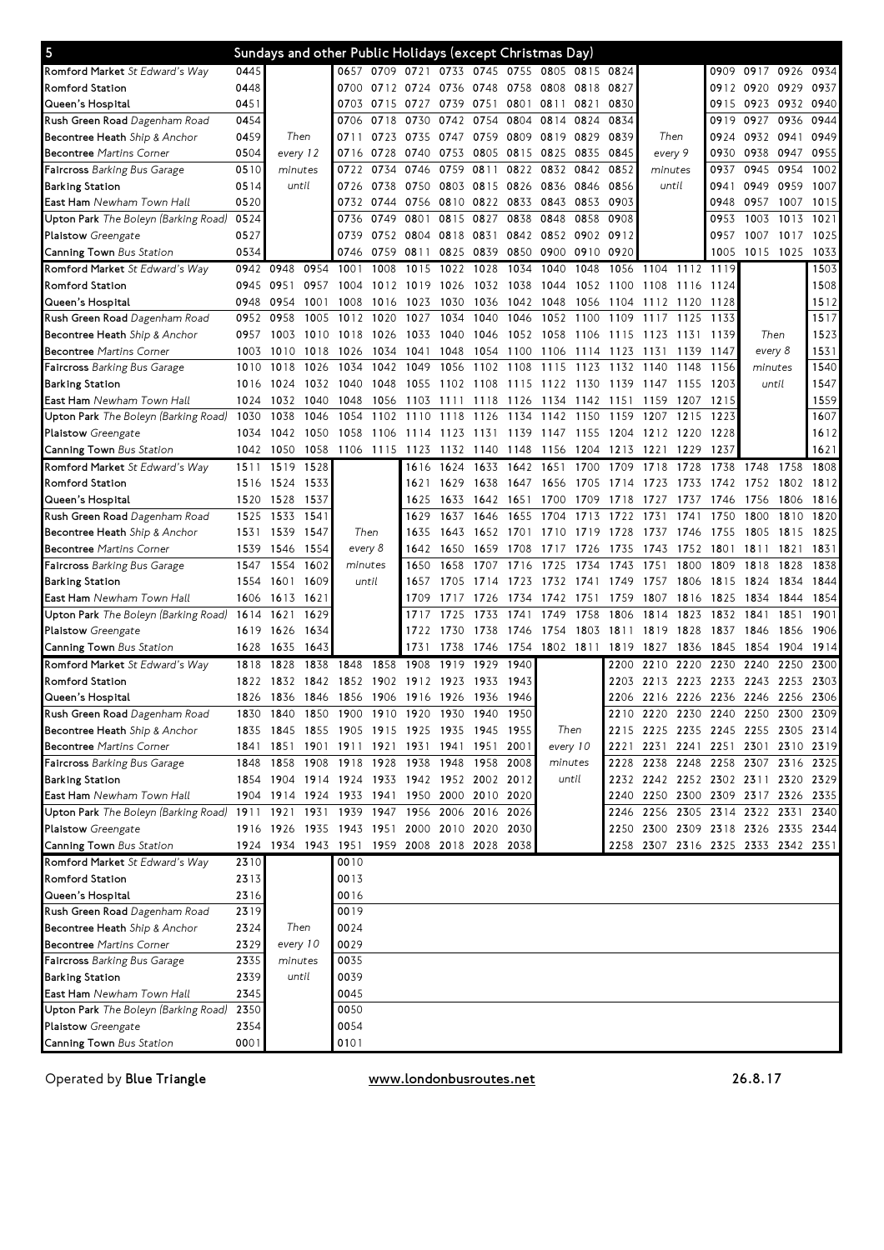| $\overline{\mathbf{5}}$                                                           |      | Sundays and other Public Holidays (except Christmas Day) |      |                               |      |                |                          |                |      |           |           |           |                                    |       |           |           |      |      |
|-----------------------------------------------------------------------------------|------|----------------------------------------------------------|------|-------------------------------|------|----------------|--------------------------|----------------|------|-----------|-----------|-----------|------------------------------------|-------|-----------|-----------|------|------|
| Romford Market St Edward's Way                                                    | 0445 |                                                          |      |                               |      | 0657 0709 0721 |                          | 0733 0745 0755 |      | 0805      | 0815 0824 |           |                                    |       |           | 0909 0917 | 0926 | 0934 |
| <b>Romford Station</b>                                                            | 0448 |                                                          |      | 0700                          |      | 0712 0724      | 0736                     | 0748           | 0758 | 0808      | 0818      | 0827      |                                    |       | 0912 0920 |           | 0929 | 0937 |
| Queen's Hospital                                                                  | 0451 |                                                          |      | 0703                          | 0715 | 0727           | 0739                     | 0751           | 0801 | 0811      | 0821      | 0830      |                                    |       | 0915      | 0923      | 0932 | 0940 |
| Rush Green Road Dagenham Road                                                     | 0454 |                                                          |      | 0706                          | 0718 | 0730           | 0742                     | 0754           | 0804 | 0814      | 0824      | 0834      |                                    |       | 0919      | 0927      | 0936 | 0944 |
| Becontree Heath Ship & Anchor                                                     | 0459 | Then                                                     |      | 0711                          |      | 0723 0735 0747 |                          | 0759           | 0809 | 0819      | 0829      | 0839      | Then                               |       | 0924      | 0932 0941 |      | 0949 |
| <b>Becontree Martins Corner</b>                                                   | 0504 | every 12                                                 |      | 0716                          | 0728 | 0740 0753      |                          | 0805 0815      |      | 0825      | 0835      | 0845      | every 9                            |       | 0930      | 0938      | 0947 | 0955 |
| Faircross Barking Bus Garage                                                      | 0510 | minutes                                                  |      | 0722                          | 0734 | 0746           | 0759                     | 0811           | 0822 | 0832      | 0842      | 0852      | minutes                            |       | 0937      | 0945      | 0954 | 1002 |
| <b>Barking Station</b>                                                            | 0514 | until                                                    |      | 0726                          | 0738 | 0750           | 0803                     | 0815           | 0826 | 0836      | 0846      | 0856      | until                              |       | 0941      | 0949      | 0959 | 1007 |
| East Ham Newham Town Hall                                                         | 0520 |                                                          |      | 0732                          | 0744 | 0756 0810      |                          | 0822 0833      |      | 0843      | 0853      | 0903      |                                    |       | 0948      | 0957      | 1007 | 1015 |
| Upton Park The Boleyn (Barking Road)                                              | 0524 |                                                          |      | 0736                          | 0749 | 0801           | 0815                     | 0827           | 0838 | 0848      | 0858      | 0908      |                                    |       | 0953      | 1003      | 1013 | 1021 |
| Plaistow Greengate                                                                | 0527 |                                                          |      | 0739                          | 0752 | 0804           | 0818                     | 0831           | 0842 | 0852      | 0902      | 0912      |                                    |       | 0957      | 1007      | 1017 | 1025 |
| Canning Town Bus Station                                                          | 0534 |                                                          |      | 0746                          | 0759 | 0811           | 0825                     | 0839           | 0850 | 0900      | 0910      | 0920      |                                    |       | 1005      | 1015      | 1025 | 1033 |
| Romford Market St Edward's Way                                                    |      | 0942 0948                                                | 0954 | 1001                          | 1008 | 1015           | 1022                     | 1028           | 1034 | 1040      | 1048      | 1056      | 1104 1112 1119                     |       |           |           |      | 1503 |
| Romford Station                                                                   | 0945 | 0951                                                     | 0957 | 1004                          | 1012 | 1019           | 1026                     | 1032           | 1038 | 1044      | 1052      | 1100      | 1108                               | 1116  | 1124      |           |      | 1508 |
|                                                                                   | 0948 | 0954                                                     | 1001 | 1008                          | 1016 | 1023           | 1030                     | 1036           | 1042 | 1048      | 1056      | 1104      | 1112                               | 1120  | 1128      |           |      | 1512 |
| Queen's Hospital                                                                  | 0952 | 0958                                                     | 1005 | 1012                          | 1020 | 1027           | 1034                     | 1040           | 1046 | 1052      | 1100      | 1109      | 1117                               | 1125  | 1133      |           |      | 1517 |
| Rush Green Road Dagenham Road                                                     |      |                                                          |      |                               |      |                |                          |                |      |           |           |           |                                    |       |           | Then      |      | 1523 |
| Becontree Heath Ship & Anchor                                                     | 0957 | 1003                                                     | 1010 | 1018                          | 1026 | 1033           | 1040                     | 1046           | 1052 | 1058      | 1106      | 1115      | 1123                               | 1131  | 1139      |           |      |      |
| <b>Becontree Martins Corner</b>                                                   | 1003 | 1010                                                     | 1018 | 1026                          | 1034 | 1041           | 1048                     | 1054           | 1100 | 1106      | 1114      | 1123      | 1131                               | 1139  | 1147      | every 8   |      | 1531 |
| Faircross Barking Bus Garage                                                      | 1010 | 1018                                                     | 1026 | 1034                          | 1042 | 1049           | 1056                     | 1102           | 1108 | 1115      | 1123      | 1132      | 1140                               | 1148  | 1156      | minutes   |      | 1540 |
| <b>Barking Station</b>                                                            | 1016 | 1024                                                     | 1032 | 1040                          | 1048 | 1055           | 1102                     | 1108           | 1115 | 1122      | - 1130    | 1139      | 1147                               | -1155 | 1203      | until     |      | 1547 |
| East Ham Newham Town Hall                                                         | 1024 | 1032                                                     | 1040 | 1048                          | 1056 | 1103           | 1111                     | 1118           | 1126 | 1134      | 1142      | 1151      | 1159                               | 1207  | 1215      |           |      | 1559 |
| Upton Park The Boleyn (Barking Road)                                              | 1030 | 1038                                                     | 1046 | 1054                          | 1102 | 1110           | 1118                     | 1126           | 1134 | 1142      | 1150      | 1159      | 1207                               | 1215  | 1223      |           |      | 1607 |
| Plaistow Greengate                                                                | 1034 | 1042                                                     | 1050 | 1058                          | 1106 | 1114           | 1123                     | 1131           | 1139 | 1147      | - 1155    | 1204      | 1212                               | 1220  | 1228      |           |      | 1612 |
| Canning Town Bus Station                                                          | 1042 | 1050                                                     | 1058 | 1106 1115                     |      | 1123           | 1132                     | 1140           | 1148 | 1156      | 1204      | 1213 1221 |                                    | 1229  | 1237      |           |      | 1621 |
| Romford Market St Edward's Way                                                    | 1511 | 1519                                                     | 1528 |                               |      | 1616           | 1624                     | 1633           | 1642 | 1651      | 1700      | 1709      | 1718                               | 1728  | 1738      | 1748      | 1758 | 1808 |
| <b>Romford Station</b>                                                            | 1516 | 1524                                                     | 1533 |                               |      | 1621           | 1629                     | 1638           | 1647 | 1656      | -1705     | 1714      | 1723                               | 1733  | 1742      | 1752      | 1802 | 1812 |
| Queen's Hospital                                                                  | 1520 | 1528                                                     | 1537 |                               |      | 1625           | 1633                     | 1642 1651      |      | 1700      | -1709     | 1718      | 1727                               | 1737  | 1746      | 1756      | 1806 | 1816 |
| Rush Green Road Dagenham Road                                                     | 1525 | 1533                                                     | 1541 |                               |      | 1629           | 1637                     | 1646           | 1655 | 1704      | 1713      | 1722      | 1731                               | 1741  | 1750      | 1800      | 1810 | 1820 |
| Becontree Heath Ship & Anchor                                                     | 1531 | 1539                                                     | 1547 | Then                          |      | 1635           | 1643                     | 1652 1701      |      | 1710      | 1719      | 1728      | 1737                               | 1746  | 1755      | 1805      | 1815 | 1825 |
| <b>Becontree Martins Corner</b>                                                   | 1539 | 1546                                                     | 1554 | every 8                       |      | 1642           | 1650                     | 1659           | 1708 | 1717      | 1726      | 1735      | 1743                               | 1752  | 1801      | 1811      | 1821 | 1831 |
| Faircross Barking Bus Garage                                                      | 1547 | 1554                                                     | 1602 | minutes                       |      | 1650           | 1658                     | 1707           | 1716 | 1725      | 1734      | 1743      | 1751                               | 1800  | 1809      | 1818      | 1828 | 1838 |
| <b>Barking Station</b>                                                            | 1554 | 1601                                                     | 1609 | until                         |      | 1657           | 1705                     | 1714           | 1723 | 1732      | 1741      | 1749      | 1757                               | 1806  | 1815      | 1824      | 1834 | 1844 |
| East Ham Newham Town Hall                                                         | 1606 | 1613                                                     | 1621 |                               |      | 1709           | 1717                     | 1726           | 1734 | 1742      | 1751      | 1759      | 1807                               | 1816  | 1825      | 1834      | 1844 | 1854 |
| Upton Park The Boleyn (Barking Road)                                              | 1614 | 1621                                                     | 1629 |                               |      | 1717           | 1725                     | 1733           | 1741 | 1749      | 1758      | 1806      | 1814                               | 1823  | 1832      | 1841      | 1851 | 1901 |
| <b>Plaistow</b> Greengate                                                         | 1619 | 1626                                                     | 1634 |                               |      | 1722           | 1730                     | 1738           | 1746 | 1754      | 1803      | 1811      | 1819                               | 1828  | 1837      | 1846      | 1856 | 1906 |
| Canning Town Bus Station                                                          | 1628 | 1635                                                     | 1643 |                               |      | 1731           | 1738                     | 1746           | 1754 | 1802 1811 |           | 1819      | 1827                               | 1836  | 1845      | 1854      | 1904 | 1914 |
| Romford Market St Edward's Way                                                    | 1818 | 1828                                                     | 1838 | 1848                          | 1858 | 1908           | 1919                     | 1929           | 1940 |           |           | 2200      | 2210                               | 2220  | 2230      | 2240      | 2250 | 2300 |
| Romford Station                                                                   | 1822 | 1832                                                     | 1842 | 1852                          | 1902 | 1912           | 1923                     | 1933           | 1943 |           |           | 2203      | 2213                               | 2223  | 2233      | 2243      | 2253 | 2303 |
| Queen's Hospital                                                                  | 1826 | 1836 1846 1856                                           |      |                               |      | 1906 1916 1926 |                          | 1936           | 1946 |           |           |           | 2206 2216 2226 2236 2246 2256 2306 |       |           |           |      |      |
| Rush Green Road Dagenham Road                                                     | 1830 | 1840 1850 1900 1910 1920 1930 1940 1950                  |      |                               |      |                |                          |                |      |           |           |           | 2210 2220 2230 2240 2250 2300 2309 |       |           |           |      |      |
| Becontree Heath Ship & Anchor                                                     | 1835 | 1845 1855 1905 1915 1925 1935 1945 1955                  |      |                               |      |                |                          |                |      | Then      |           |           | 2215 2225 2235 2245 2255 2305 2314 |       |           |           |      |      |
| <b>Becontree Martins Corner</b>                                                   | 1841 | 1851                                                     |      | 1901 1911 1921 1931 1941 1951 |      |                |                          |                | 2001 | every 10  |           |           | 2221 2231 2241 2251 2301 2310 2319 |       |           |           |      |      |
| Faircross Barking Bus Garage                                                      | 1848 | 1858 1908 1918                                           |      |                               |      |                | 1928 1938 1948 1958 2008 |                |      | minutes   |           |           | 2228 2238 2248 2258 2307 2316 2325 |       |           |           |      |      |
| <b>Barking Station</b>                                                            |      | 1854 1904 1914 1924 1933 1942 1952 2002 2012             |      |                               |      |                |                          |                |      |           | until     |           | 2232 2242 2252 2302 2311 2320 2329 |       |           |           |      |      |
| East Ham Newham Town Hall                                                         |      | 1904 1914 1924 1933 1941                                 |      |                               |      |                | 1950 2000 2010 2020      |                |      |           |           |           | 2240 2250 2300 2309 2317 2326 2335 |       |           |           |      |      |
| Upton Park The Boleyn (Barking Road) 1911 1921 1931 1939 1947 1956 2006 2016 2026 |      |                                                          |      |                               |      |                |                          |                |      |           |           |           | 2246 2256 2305 2314 2322 2331 2340 |       |           |           |      |      |
|                                                                                   |      |                                                          |      |                               |      |                |                          |                |      |           |           |           | 2250 2300 2309 2318 2326 2335 2344 |       |           |           |      |      |
| Plaistow Greengate                                                                |      | 1916 1926 1935 1943 1951 2000 2010 2020 2030             |      |                               |      |                |                          |                |      |           |           |           |                                    |       |           |           |      |      |
| Canning Town Bus Station                                                          |      | 1924 1934 1943 1951 1959 2008 2018 2028 2038             |      |                               |      |                |                          |                |      |           |           |           | 2258 2307 2316 2325 2333 2342 2351 |       |           |           |      |      |
| Romford Market St Edward's Way                                                    | 2310 |                                                          |      | 0010                          |      |                |                          |                |      |           |           |           |                                    |       |           |           |      |      |
| Romford Station                                                                   | 2313 |                                                          |      | 0013                          |      |                |                          |                |      |           |           |           |                                    |       |           |           |      |      |
| Queen's Hospital                                                                  | 2316 |                                                          |      | 0016                          |      |                |                          |                |      |           |           |           |                                    |       |           |           |      |      |
| Rush Green Road Dagenham Road                                                     | 2319 |                                                          |      | 0019                          |      |                |                          |                |      |           |           |           |                                    |       |           |           |      |      |
| Becontree Heath Ship & Anchor                                                     | 2324 | Then                                                     |      | 0024                          |      |                |                          |                |      |           |           |           |                                    |       |           |           |      |      |
| <b>Becontree Martins Corner</b>                                                   | 2329 | every 10                                                 |      | 0029                          |      |                |                          |                |      |           |           |           |                                    |       |           |           |      |      |
| Faircross Barking Bus Garage                                                      | 2335 | minutes                                                  |      | 0035                          |      |                |                          |                |      |           |           |           |                                    |       |           |           |      |      |
| <b>Barking Station</b>                                                            | 2339 | until                                                    |      | 0039                          |      |                |                          |                |      |           |           |           |                                    |       |           |           |      |      |
| East Ham Newham Town Hall                                                         | 2345 |                                                          |      | 0045                          |      |                |                          |                |      |           |           |           |                                    |       |           |           |      |      |
| Upton Park The Boleyn (Barking Road)                                              | 2350 |                                                          |      | 0050                          |      |                |                          |                |      |           |           |           |                                    |       |           |           |      |      |
| Plaistow Greengate                                                                | 2354 |                                                          |      | 0054                          |      |                |                          |                |      |           |           |           |                                    |       |           |           |      |      |
| Canning Town Bus Station                                                          | 0001 |                                                          |      | 0101                          |      |                |                          |                |      |           |           |           |                                    |       |           |           |      |      |

Operated by Blue Triangle **Exercise 26.8.17** Www.londonbusroutes.net 26.8.17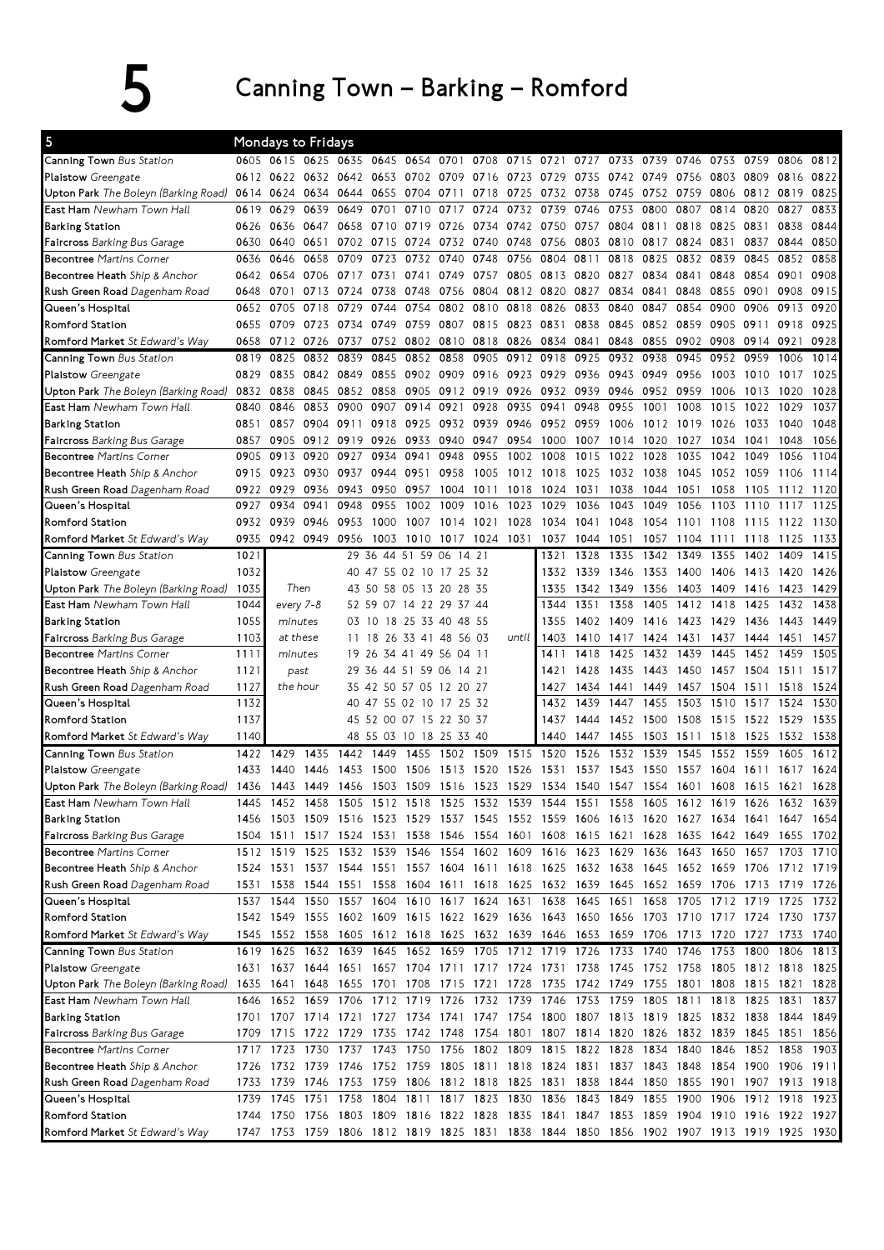## 5 Canning Town – Barking – Romford

| 5                                           |              | Mondays to Fridays |                  |                     |           |                                                   |                |           |                |                |              |              |                          |           |                                                                                           |                     |           |              |
|---------------------------------------------|--------------|--------------------|------------------|---------------------|-----------|---------------------------------------------------|----------------|-----------|----------------|----------------|--------------|--------------|--------------------------|-----------|-------------------------------------------------------------------------------------------|---------------------|-----------|--------------|
| Canning Town Bus Station                    |              |                    |                  |                     |           | 0605 0615 0625 0635 0645 0654 0701                |                |           | 0708 0715 0721 |                | 0727         | 0733         |                          | 0739 0746 | 0753                                                                                      | 0759                | 0806      | 0812         |
| <b>Plaistow</b> Greengate                   |              | 0612 0622          |                  |                     |           | 0632 0642 0653 0702 0709                          |                | 0716 0723 |                | 0729           | 0735 0742    |              | 0749                     | 0756      | 0803                                                                                      | 0809                | 0816      | 0822         |
| <b>Upton Park</b> The Boleyn (Barking Road) | 0614         | 0624               | 0634             | 0644                | 0655      | 0704                                              | 0711           | 0718      | 0725           |                | 0732 0738    | 0745         |                          | 0752 0759 | 0806                                                                                      | 0812 0819           |           | 0825         |
| <b>East Ham</b> Newham Town Hall            | 0619         | 0629               | 0639             | 0649                | 0701      | 0710                                              | 0717           | 0724      | 0732           | 0739           | 0746         | 0753         | 0800                     | 0807      | 0814                                                                                      | 0820                | 0827      | 0833         |
| <b>Barking Station</b>                      | 0626         | 0636               |                  | 0647 0658 0710 0719 |           |                                                   | 0726           | 0734 0742 |                |                | 0750 0757    | 0804         | 0811                     | 0818      | 0825                                                                                      | 0831                | 0838      | 0844         |
| <b>Faircross</b> Barking Bus Garage         | 0630         | 0640               | 0651             |                     | 0702 0715 | 0724                                              | 0732 0740 0748 |           |                |                | 0756 0803    | 0810         | 0817                     | 0824      | 0831                                                                                      | 0837                | 0844      | 0850         |
| <b>Becontree</b> Martins Corner             | 0636         | 0646               | 0658             | 0709                | 0723      | 0732                                              | 0740           | 0748      | 0756           | 0804           | 0811         | 0818         | 0825                     | 0832      | 0839                                                                                      | 0845                | 0852      | 0858         |
| <b>Becontree Heath</b> Ship & Anchor        | 0642         | 0654               | 0706             | 0717                | 0731      | 0741                                              | 0749           | 0757      | 0805           | 0813           | 0820         | 0827         | 0834                     | 0841      | 0848                                                                                      | 0854                | 0901      | 0908         |
| <b>Rush Green Road</b> Dagenham Road        | 0648         | 0701               | 0713             | 0724                | 0738      | 0748                                              | 0756           | 0804      |                | 0812 0820 0827 |              | 0834         | 0841                     | 0848      | 0855                                                                                      | 0901                | 0908      | 0915         |
| Queen's Hospital                            | 0652         | 0705               | 0718             | 0729                | 0744      | 0754                                              | 0802           | 0810      | 0818           | 0826           | 0833         | 0840         | 0847                     | 0854      | 0900                                                                                      | 0906                | 0913      | 0920         |
| Romford Station                             | 0655         | 0709               | 0723             | 0734                | 0749      | 0759                                              | 0807           |           | 0815 0823      | 0831           | 0838         | 0845         | 0852                     | 0859      | 0905                                                                                      | 0911                | 0918      | 0925         |
| Romford Market St Edward's Way              | 0658         | 0712 0726          |                  | 0737                |           | 0752 0802                                         | 0810           | 0818 0826 |                |                | 0834 0841    | 0848         | 0855                     | 0902      | 0908                                                                                      | 0914 0921           |           | 0928         |
| <b>Canning Town</b> Bus Station             | 0819         | 0825               | 0832             | 0839                | 0845      | 0852                                              | 0858           | 0905      | 0912           | 0918           | 0925         | 0932         | 0938                     | 0945      | 0952                                                                                      | 0959                | 1006      | 1014         |
| <b>Plaistow</b> Greengate                   | 0829         | 0835               | 0842             | 0849                | 0855      | 0902                                              | 0909           | 0916 0923 |                | 0929           | 0936         | 0943         | 0949                     | 0956      | 1003                                                                                      | 1010                | 1017      | 1025         |
| Upton Park The Boleyn (Barking Road)        | 0832         | 0838               | 0845             | 0852                | 0858      | 0905                                              | 0912           | 0919 0926 |                | 0932           | 0939         | 0946         | 0952                     | 0959      | 1006                                                                                      | 1013                | 1020      | 1028         |
| <b>East Ham</b> Newham Town Hall            | 0840         | 0846               | 0853             | 0900                | 0907      | 0914                                              | 0921           | 0928      | 0935           | 0941           | 0948         | 0955         | 1001                     | 1008      | 1015                                                                                      | 1022                | 1029      | 1037         |
| <b>Barking Station</b>                      | 0851         | 0857               | 0904             | 0911                | 0918      | 0925                                              | 0932           | 0939 0946 |                |                | 0952 0959    | 1006         |                          | 1012 1019 | 1026                                                                                      | 1033                | 1040      | 1048         |
| <b>Faircross</b> Barking Bus Garage         | 0857         | 0905               | 0912             | 0919                | 0926      | 0933                                              | 0940           | 0947      | 0954           | 1000           | 1007         | 1014         | 1020                     | 1027      | 1034                                                                                      | 1041                | 1048      | 1056         |
| <b>Becontree Martins Corner</b>             | 0905         | 0913               | 0920             | 0927                | 0934      | 0941                                              | 0948           | 0955      | 1002           | 1008           | 1015         | 1022         | 1028                     | 1035      | 1042                                                                                      | 1049                | 1056      | 1104         |
| <b>Becontree Heath</b> Ship & Anchor        | 0915         | 0923               | 0930             | 0937                | 0944      | 0951                                              | 0958           | 1005      | 1012 1018      |                | 1025         | 1032         | 1038                     | 1045      | 1052                                                                                      | 1059                | 1106      | 1114         |
| Rush Green Road Dagenham Road               | 0922         | 0929               | 0936             | 0943                | 0950      | 0957                                              | 1004           | 1011      | 1018           | 1024 1031      |              | 1038         | 1044                     | 1051      | 1058                                                                                      | 1105                | 1112      | 1120         |
| Queen's Hospital                            | 0927         | 0934               | 0941             | 0948                | 0955      | 1002                                              | 1009           | 1016      | 1023           | 1029           | 1036         | 1043         | 1049                     | 1056      | 1103                                                                                      | 1110                | 1117      | 1125         |
| Romford Station                             |              | 0932 0939          | 0946             | 0953                | 1000      | 1007                                              | 1014           | 1021 1028 |                |                | 1034 1041    | 1048         |                          | 1054 1101 | 1108                                                                                      | 1115                | 1122      | 1130         |
| Romford Market St Edward's Way              | 0935         |                    | 0942 0949 0956   |                     | 1003      | 1010                                              | 1017           | 1024 1031 |                | 1037           | 1044         | 1051         | 1057                     | 1104      | 1111                                                                                      | 1118                | 1125      | 1133         |
| <b>Canning Town</b> Bus Station             | 1021         |                    |                  | 29.                 |           | 36 44 51 59 06                                    | 14             | 21        |                | 1321           | 1328         | 1335         | 1342                     | 1349      | 1355                                                                                      | 1402                | 1409      | 1415         |
| Plaistow Greengate                          | 1032         |                    |                  |                     |           | 40 47 55 02 10 17 25 32                           |                |           |                | 1332           | 1339         | 1346         | 1353 1400                |           | 1406                                                                                      | 1413 1420           |           | 1426         |
| Upton Park The Boleyn (Barking Road)        | 1035         | Then               |                  |                     |           | 43 50 58 05 13 20 28 35                           |                |           |                | 1335           | 1342 1349    |              |                          | 1356 1403 | 1409                                                                                      |                     | 1416 1423 | 1429         |
| <b>East Ham</b> Newham Town Hall            | 1044         | every 7-8          |                  |                     |           | 52 59 07 14 22 29 37 44                           |                |           |                | 1344           | 1351         | 1358         |                          | 1405 1412 | 1418                                                                                      | 1425                | 1432      | 1438         |
|                                             | 1055         | minutes            |                  |                     |           | 03 10 18 25 33 40 48 55                           |                |           |                | 1355           | 1402         | 1409         | 1416                     | 1423      | 1429                                                                                      | 1436                | 1443      | 1449         |
| <b>Barking Station</b>                      | 1103         |                    | at these         | 11                  |           | 18 26 33 41 48                                    |                | 56 03     | until          | 1403           | 1410         | 1417         |                          | 1424 1431 | 1437                                                                                      | 1444                | 1451      | 1457         |
| <b>Faircross</b> Barking Bus Garage         |              | minutes            |                  |                     |           |                                                   |                |           |                | 1411           | 1418         | 1425         | 1432                     | 1439      | 1445                                                                                      | 1452                | 1459      | 1505         |
| <b>Becontree</b> Martins Corner             | 1111         |                    |                  |                     |           | 19 26 34 41 49 56 04 11                           |                |           |                |                | 1428         | 1435         |                          | 1443 1450 |                                                                                           |                     |           | 1517         |
| <b>Becontree Heath</b> Ship & Anchor        | 1121         |                    | past<br>the hour |                     |           | 29 36 44 51 59 06 14 21                           |                |           |                | 1421<br>1427   |              |              |                          |           | 1457                                                                                      | 1504 1511           |           |              |
| <b>Rush Green Road</b> Dagenham Road        | 1127<br>1132 |                    |                  |                     |           | 35 42 50 57 05 12 20 27                           |                |           |                | 1432           | 1434<br>1439 | 1441<br>1447 | 1449<br>1455             | 1457      | 1504                                                                                      | 1511<br>1517        | 1518      | 1524<br>1530 |
| Queen's Hospital                            |              |                    |                  |                     |           | 40 47 55 02 10 17 25 32                           |                |           |                |                |              |              |                          | 1503      | 1510                                                                                      |                     | 1524      |              |
| Romford Station                             | 1137         |                    |                  |                     |           | 45 52 00 07 15 22 30 37                           |                |           |                | 1437           | 1444         | 1452         | 1500                     | 1508      | 1515                                                                                      | 1522                | 1529      | 1535         |
| Romford Market St Edward's Way              | 1140         |                    |                  |                     |           | 48 55 03 10 18 25 33 40                           |                |           |                | 1440           | 1447         | 1455         | 1503                     | 1511      | 1518                                                                                      | 1525                | 1532      | 1538         |
| Canning Town Bus Station                    | 1422         | 1429               | 1435             | 1442                | 1449      | 1455                                              | 1502           | 1509      | 1515           | 1520           | 1526         | 1532         | 1539                     | 1545      | 1552                                                                                      | 1559                | 1605      | 1612         |
| Plaistow Greengate                          | 1433         | 1440               | 1446             | 1453                | 1500      | 1506                                              | 1513           | 1520      | 1526           | 1531           | 1537         | 1543         | 1550                     | 1557      | 1604                                                                                      | 1611                | 1617      | 1624         |
| <b>Upton Park</b> The Boleyn (Barking Road) |              |                    |                  |                     |           | 1436 1443 1449 1456 1503 1509 1516 1523 1529      |                |           |                |                |              |              | 1534 1540 1547 1554 1601 |           | 1608                                                                                      | 1615 1621           |           | 1628         |
| <b>East Ham</b> Newham Town Hall            |              |                    |                  |                     |           |                                                   |                |           |                |                |              |              |                          |           | 1445 1452 1458 1505 1512 1518 1525 1532 1539 1544 1551 1558 1605 1612 1619 1626 1632 1639 |                     |           |              |
| Barking Station                             |              |                    |                  |                     |           |                                                   |                |           |                |                |              |              |                          |           | 1456 1503 1509 1516 1523 1529 1537 1545 1552 1559 1606 1613 1620 1627 1634 1641 1647 1654 |                     |           |              |
| <b>Faircross</b> Barking Bus Garage         |              |                    |                  |                     |           |                                                   |                |           |                |                |              |              |                          |           | 1504 1511 1517 1524 1531 1538 1546 1554 1601 1608 1615 1621 1628 1635 1642 1649 1655 1702 |                     |           |              |
| <b>Becontree</b> Martins Corner             |              |                    |                  |                     |           |                                                   |                |           |                |                |              |              |                          |           | 1512 1519 1525 1532 1539 1546 1554 1602 1609 1616 1623 1629 1636 1643 1650 1657 1703 1710 |                     |           |              |
| Becontree Heath Ship & Anchor               |              |                    |                  |                     |           |                                                   |                |           |                |                |              |              |                          |           | 1524 1531 1537 1544 1551 1557 1604 1611 1618 1625 1632 1638 1645 1652 1659 1706 1712 1719 |                     |           |              |
| <b>Rush Green Road</b> Dagenham Road        | 1531         | 1538               |                  |                     |           |                                                   |                |           |                |                |              |              |                          |           | 1544 1551 1558 1604 1611 1618 1625 1632 1639 1645 1652 1659 1706 1713 1719 1726           |                     |           |              |
| Queen's Hospital                            |              | 1537 1544          |                  |                     |           |                                                   |                |           |                |                |              |              |                          |           | 1550 1557 1604 1610 1617 1624 1631 1638 1645 1651 1658 1705 1712 1719 1725 1732           |                     |           |              |
| Romford Station                             |              |                    |                  |                     |           |                                                   |                |           |                |                |              |              |                          |           | 1542 1549 1555 1602 1609 1615 1622 1629 1636 1643 1650 1656 1703 1710 1717 1724 1730 1737 |                     |           |              |
| <b>Romford Market</b> St Edward's Way       |              |                    |                  |                     |           |                                                   |                |           |                |                |              |              |                          |           | 1545 1552 1558 1605 1612 1618 1625 1632 1639 1646 1653 1659 1706 1713 1720 1727 1733 1740 |                     |           |              |
| Canning Town Bus Station                    |              |                    |                  |                     |           |                                                   |                |           |                |                |              |              |                          |           | 1619 1625 1632 1639 1645 1652 1659 1705 1712 1719 1726 1733 1740 1746 1753 1800 1806 1813 |                     |           |              |
| Plaistow Greengate                          |              |                    |                  |                     |           |                                                   |                |           |                |                |              |              |                          |           | 1631 1637 1644 1651 1657 1704 1711 1717 1724 1731 1738 1745 1752 1758 1805 1812 1818 1825 |                     |           |              |
| <b>Upton Park</b> The Boleyn (Barking Road) |              |                    |                  |                     |           |                                                   |                |           |                |                |              |              |                          |           | 1635 1641 1648 1655 1701 1708 1715 1721 1728 1735 1742 1749 1755 1801 1808 1815 1821 1828 |                     |           |              |
| <b>East Ham</b> Newham Town Hall            |              |                    |                  |                     |           |                                                   |                |           |                |                |              |              |                          |           | 1646 1652 1659 1706 1712 1719 1726 1732 1739 1746 1753 1759 1805 1811 1818 1825 1831      |                     |           | 1837         |
| Barking Station                             |              |                    |                  |                     |           |                                                   |                |           |                |                |              |              |                          |           | 1701 1707 1714 1721 1727 1734 1741 1747 1754 1800 1807 1813 1819 1825 1832 1838 1844 1849 |                     |           |              |
| Faircross Barking Bus Garage                |              |                    |                  |                     |           |                                                   |                |           |                |                |              |              |                          |           | 1709 1715 1722 1729 1735 1742 1748 1754 1801 1807 1814 1820 1826 1832 1839 1845 1851 1856 |                     |           |              |
| <b>Becontree</b> Martins Corner             |              |                    |                  |                     |           |                                                   |                |           |                |                |              |              |                          |           | 1717 1723 1730 1737 1743 1750 1756 1802 1809 1815 1822 1828 1834 1840 1846 1852 1858 1903 |                     |           |              |
| <b>Becontree Heath</b> Ship & Anchor        |              |                    |                  |                     |           |                                                   |                |           |                |                |              |              |                          |           | 1726 1732 1739 1746 1752 1759 1805 1811 1818 1824 1831 1837 1843 1848 1854 1900 1906 1911 |                     |           |              |
| <b>Rush Green Road</b> Dagenham Road        |              | 1733 1739 1746     |                  |                     |           |                                                   |                |           |                |                |              |              |                          |           | 1753 1759 1806 1812 1818 1825 1831 1838 1844 1850 1855 1901 1907 1913 1918                |                     |           |              |
| Queen's Hospital                            |              | 1739 1745          |                  |                     |           | 1751 1758 1804 1811 1817 1823 1830 1836 1843 1849 |                |           |                |                |              |              |                          | 1855 1900 |                                                                                           | 1906 1912 1918 1923 |           |              |
| Romford Station                             |              |                    |                  |                     |           |                                                   |                |           |                |                |              |              |                          |           | 1744 1750 1756 1803 1809 1816 1822 1828 1835 1841 1847 1853 1859 1904 1910 1916 1922 1927 |                     |           |              |
| <b>Romford Market</b> St Edward's Way       |              |                    |                  |                     |           |                                                   |                |           |                |                |              |              |                          |           | 1747 1753 1759 1806 1812 1819 1825 1831 1838 1844 1850 1856 1902 1907 1913 1919 1925 1930 |                     |           |              |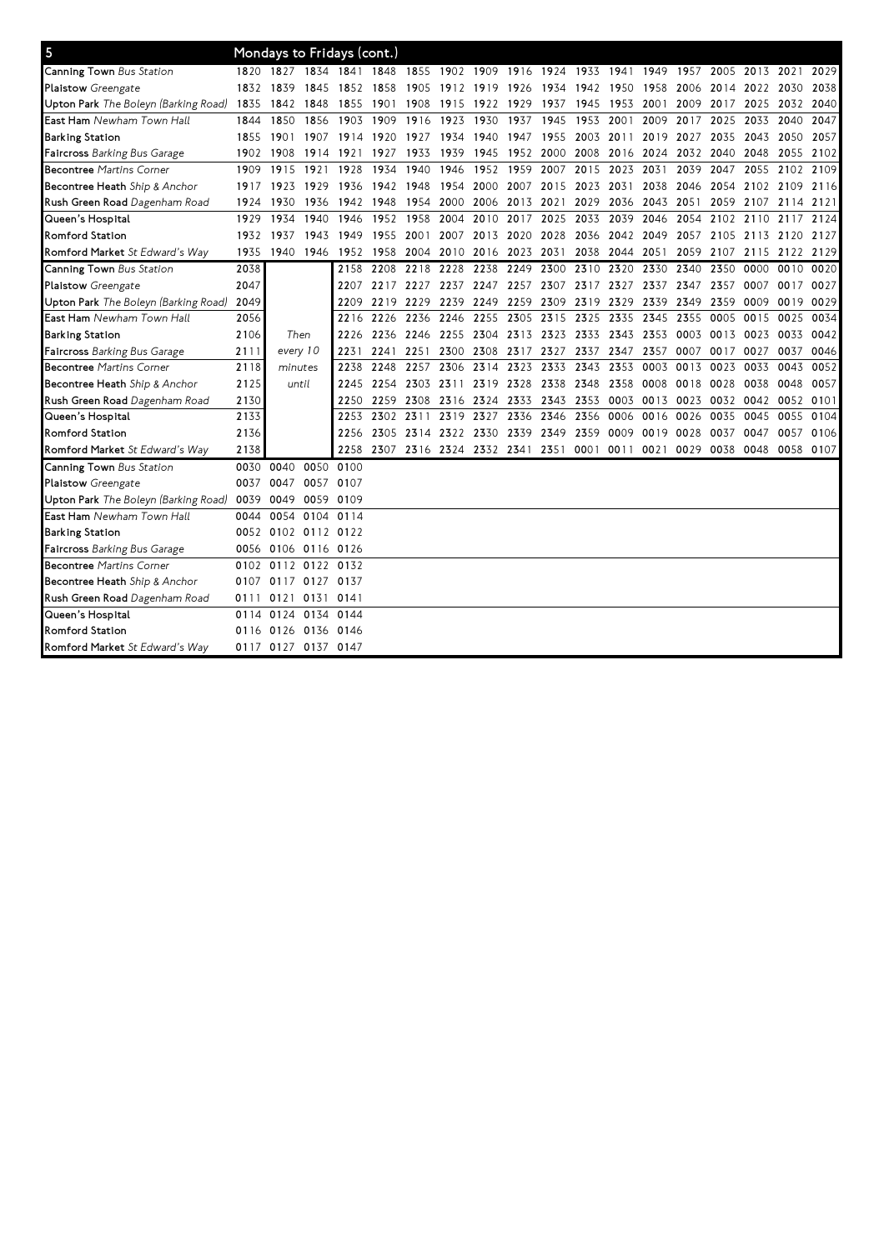| 5                                            |      | Mondays to Fridays (cont.) |                |           |      |                |                                                                                      |                          |                |                     |           |                |                                    |      |                          |                     |           |      |
|----------------------------------------------|------|----------------------------|----------------|-----------|------|----------------|--------------------------------------------------------------------------------------|--------------------------|----------------|---------------------|-----------|----------------|------------------------------------|------|--------------------------|---------------------|-----------|------|
| Canning Town Bus Station                     |      |                            |                |           |      |                | 1820 1827 1834 1841 1848 1855 1902 1909 1916 1924 1933 1941 1949 1957 2005 2013 2021 |                          |                |                     |           |                |                                    |      |                          |                     |           | 2029 |
| Plaistow Greengate                           |      |                            |                |           |      |                | 1832 1839 1845 1852 1858 1905 1912 1919 1926 1934 1942 1950 1958                     |                          |                |                     |           |                |                                    |      | 2006 2014 2022 2030 2038 |                     |           |      |
| U <b>pton Park</b> The Boleyn (Barking Road) | 1835 | 1842 1848                  |                | 1855      |      |                | 1901 1908 1915 1922 1929 1937 1945 1953 2001                                         |                          |                |                     |           |                |                                    |      | 2009 2017 2025 2032 2040 |                     |           |      |
| <b>East Ham</b> Newham Town Hall             | 1844 | 1850                       | 1856           | 1903      | 1909 | 1916           | 1923                                                                                 | 1930                     | 1937           | 1945                | 1953      | 2001           | 2009                               | 2017 | 2025                     | 2033                | 2040      | 2047 |
| Barking Station                              | 1855 | 1901 1907 1914             |                |           |      | 1920 1927 1934 |                                                                                      | 1940 1947                |                | 1955                |           | 2003 2011      | 2019                               | 2027 |                          | 2035 2043           | 2050      | 2057 |
| <b>Faircross</b> Barking Bus Garage          | 1902 | 1908                       | 1914 1921      |           | 1927 | 1933 1939      |                                                                                      |                          | 1945 1952 2000 |                     |           | 2008 2016 2024 |                                    |      | 2032 2040 2048           |                     | 2055 2102 |      |
| <b>Becontree Martins Corner</b>              | 1909 | 1915                       | 1921           | 1928      | 1934 | 1940           | 1946                                                                                 |                          | 1952 1959      |                     |           | 2007 2015 2023 | 2031                               | 2039 |                          | 2047 2055           | 2102 2109 |      |
| Becontree Heath Ship & Anchor                | 1917 | 1923 1929                  |                | 1936      |      | 1942 1948 1954 |                                                                                      | 2000 2007 2015 2023 2031 |                |                     |           |                | 2038                               |      | 2046 2054 2102 2109 2116 |                     |           |      |
| Rush Green Road Dagenham Road                | 1924 | 1930                       | 1936 1942      |           |      | 1948 1954 2000 |                                                                                      |                          |                |                     |           |                | 2006 2013 2021 2029 2036 2043 2051 |      |                          | 2059 2107 2114 2121 |           |      |
| Queen's Hospital                             | 1929 | 1934                       | 1940           | 1946      |      | 1952 1958 2004 |                                                                                      | 2010 2017 2025           |                |                     |           | 2033 2039 2046 |                                    | 2054 |                          | 2102 2110 2117      |           | 2124 |
| <b>Romford Station</b>                       | 1932 | 1937                       | 1943 1949      |           |      | 1955 2001      |                                                                                      | 2007 2013 2020 2028      |                |                     |           | 2036 2042 2049 |                                    |      | 2057 2105 2113 2120 2127 |                     |           |      |
| Romford Market St Edward's Way               | 1935 | 1940 1946 1952             |                |           |      |                | 1958 2004 2010 2016 2023 2031                                                        |                          |                |                     |           | 2038 2044 2051 |                                    | 2059 | 2107 2115 2122 2129      |                     |           |      |
| Canning Town Bus Station                     | 2038 |                            |                | 2158      | 2208 | 2218           | 2228                                                                                 | 2238                     | 2249 2300      |                     | 2310      | 2320           | 2330                               | 2340 | 2350                     | 0000                | 0010      | 0020 |
| Plaistow Greengate                           | 2047 |                            |                | 2207      |      |                | 2217 2227 2237 2247 2257 2307 2317 2327                                              |                          |                |                     |           |                | 2337                               | 2347 | 2357                     | 0007                | 0017      | 0027 |
| Upton Park The Boleyn (Barking Road)         | 2049 |                            |                | 2209      |      | 2219 2229 2239 |                                                                                      | 2249                     | 2259 2309      |                     | 2319 2329 |                | 2339                               | 2349 | 2359                     | 0009                | 0019      | 0029 |
| <b>East Ham</b> Newham Town Hall             | 2056 |                            |                | 2216      | 2226 | 2236           | 2246                                                                                 | 2255                     | 2305           | 2315                | 2325      | 2335           | 2345                               | 2355 | 0005                     | 0015                | 0025      | 0034 |
| <b>Barking Station</b>                       | 2106 | Then                       |                | 2226      |      | 2236 2246 2255 |                                                                                      | 2304                     | 2313 2323      |                     | 2333      | 2343           | 2353                               | 0003 | 0013 0023                |                     | 0033      | 0042 |
| Faircross Barking Bus Garage                 | 2111 | every 10                   |                | 2231      |      | 2241 2251      | 2300                                                                                 | 2308                     |                | 2317 2327           |           | 2337 2347      | 2357                               | 0007 | 0017 0027                |                     | 0037      | 0046 |
| <b>Becontree Martins Corner</b>              | 2118 | minutes                    |                | 2238      | 2248 | 2257           | 2306                                                                                 | 2314                     | 2323           | 2333                | 2343      | 2353           | 0003                               | 0013 | 0023                     | 0033                | 0043      | 0052 |
| Becontree Heath Ship & Anchor                | 2125 | until                      |                | 2245      |      | 2254 2303 2311 |                                                                                      |                          |                | 2319 2328 2338 2348 |           | 2358 0008      |                                    | 0018 | 0028 0038                |                     | 0048      | 0057 |
| Rush Green Road Dagenham Road                | 2130 |                            |                | 2250      |      |                | 2259 2308 2316 2324 2333 2343 2353 0003 0013 0023                                    |                          |                |                     |           |                |                                    |      |                          | 0032 0042           | 0052      | 0101 |
| Queen's Hospital                             | 2133 |                            |                | 2253      | 2302 | 2311           | 2319                                                                                 | 2327                     |                | 2336 2346           | 2356      | 0006           | 0016                               | 0026 | 0035                     | 0045                | 0055      | 0104 |
| <b>Romford Station</b>                       | 2136 |                            |                | 2256      |      |                | 2305 2314 2322 2330 2339 2349 2359 0009 0019                                         |                          |                |                     |           |                |                                    | 0028 | 0037                     | 0047                | 0057      | 0106 |
| Romford Market St Edward's Way               | 2138 |                            |                | 2258      |      |                | 2307 2316 2324 2332 2341 2351 0001 0011 0021 0029                                    |                          |                |                     |           |                |                                    |      | 0038 0048                |                     | 0058 0107 |      |
| Canning Town Bus Station                     |      | 0030 0040                  |                | 0050 0100 |      |                |                                                                                      |                          |                |                     |           |                |                                    |      |                          |                     |           |      |
| Plaistow Greengate                           |      | 0037 0047                  | 0057 0107      |           |      |                |                                                                                      |                          |                |                     |           |                |                                    |      |                          |                     |           |      |
| Upton Park The Boleyn (Barking Road)         | 0039 | 0049                       |                | 0059 0109 |      |                |                                                                                      |                          |                |                     |           |                |                                    |      |                          |                     |           |      |
| <b>East Ham</b> Newham Town Hall             | 0044 | 0054                       | 0104 0114      |           |      |                |                                                                                      |                          |                |                     |           |                |                                    |      |                          |                     |           |      |
| Barking Station                              |      | 0052 0102 0112 0122        |                |           |      |                |                                                                                      |                          |                |                     |           |                |                                    |      |                          |                     |           |      |
| Faircross Barking Bus Garage                 |      | 0056 0106 0116 0126        |                |           |      |                |                                                                                      |                          |                |                     |           |                |                                    |      |                          |                     |           |      |
| <b>Becontree Martins Corner</b>              | 0102 | 0112 0122 0132             |                |           |      |                |                                                                                      |                          |                |                     |           |                |                                    |      |                          |                     |           |      |
| Becontree Heath Ship & Anchor                |      | 0107 0117 0127 0137        |                |           |      |                |                                                                                      |                          |                |                     |           |                |                                    |      |                          |                     |           |      |
| Rush Green Road Dagenham Road                | 0111 |                            | 0121 0131 0141 |           |      |                |                                                                                      |                          |                |                     |           |                |                                    |      |                          |                     |           |      |
| Queen's Hospital                             | 0114 |                            | 0124 0134 0144 |           |      |                |                                                                                      |                          |                |                     |           |                |                                    |      |                          |                     |           |      |
| <b>Romford Station</b>                       | 0116 | 0126 0136 0146             |                |           |      |                |                                                                                      |                          |                |                     |           |                |                                    |      |                          |                     |           |      |
| <b>Romford Market</b> St Edward's Way        |      | 0117 0127 0137 0147        |                |           |      |                |                                                                                      |                          |                |                     |           |                |                                    |      |                          |                     |           |      |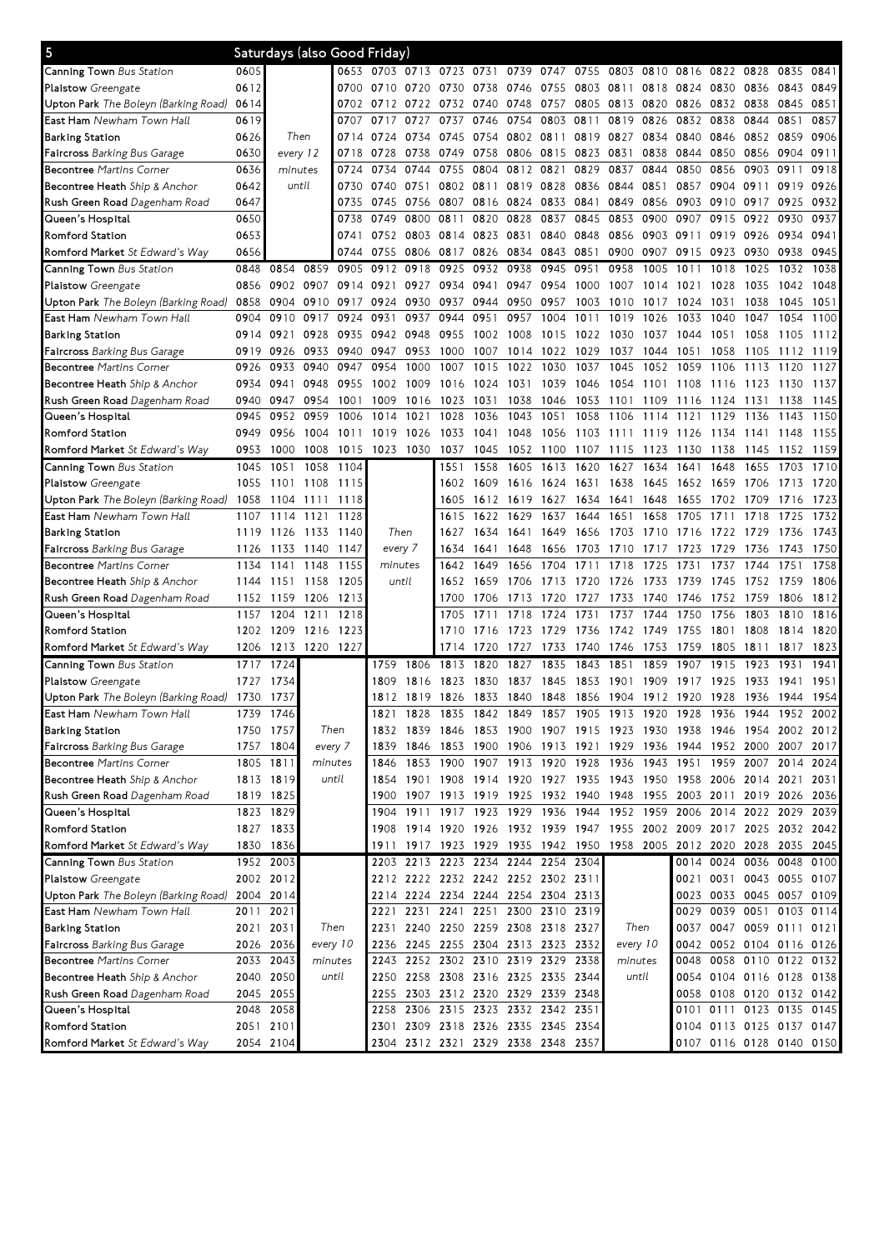| $\overline{\mathbf{5}}$                                                                                                                                                                                                                                                                       |           | Saturdays (also Good Friday) |           |       |         |                     |                                                                       |           |           |                     |           |                                                        |           |      |                     |      |                          |      |
|-----------------------------------------------------------------------------------------------------------------------------------------------------------------------------------------------------------------------------------------------------------------------------------------------|-----------|------------------------------|-----------|-------|---------|---------------------|-----------------------------------------------------------------------|-----------|-----------|---------------------|-----------|--------------------------------------------------------|-----------|------|---------------------|------|--------------------------|------|
| Canning Town Bus Station                                                                                                                                                                                                                                                                      | 0605      |                              |           |       |         | 0653 0703 0713 0723 |                                                                       | 0731      | 0739 0747 |                     | 0755      | 0803                                                   | 0810      | 0816 | 0822                | 0828 | 0835                     | 0841 |
| <b>Plaistow</b> Greengate                                                                                                                                                                                                                                                                     | 0612      |                              |           | 0700  | 0710    | 0720                | 0730                                                                  | 0738      | 0746      | 0755                | 0803      | 0811                                                   | 0818      | 0824 | 0830                | 0836 | 0843                     | 0849 |
| Upton Park The Boleyn (Barking Road)                                                                                                                                                                                                                                                          | 0614      |                              |           | 0702  | 0712    | 0722                | 0732                                                                  | 0740      | 0748      | 0757                | 0805      | 0813                                                   | 0820      | 0826 | 0832                | 0838 | 0845                     | 0851 |
| East Ham Newham Town Hall                                                                                                                                                                                                                                                                     | 0619      |                              |           | 0707  | 0717    | 07                  | 0737                                                                  | 0746      | 0754      | 0803                | 0811      | 0819                                                   | 0826      | 0832 | 0838                | 0844 | 0851                     | 0857 |
| <b>Barking Station</b>                                                                                                                                                                                                                                                                        | 0626      | Then                         |           | 0714  | 0724    | 0734                | 0745                                                                  | 0754      | 0802      | 0811                | 0819      | 0827                                                   | 0834      | 0840 | 0846                | 0852 | 0859                     | 0906 |
| <b>Faircross</b> Barking Bus Garage                                                                                                                                                                                                                                                           | 0630      | every 12                     |           | 0718  | 0728    | 0738                | 0749                                                                  | 0758      | 0806      | 0815                | 0823      | 0831                                                   | 0838      | 0844 | 0850                | 0856 | 0904                     | 0911 |
| <b>Becontree Martins Corner</b>                                                                                                                                                                                                                                                               | 0636      | minutes                      |           | 0724  | 0734    | 0744                | 0755                                                                  | 0804      | 0812      | 0821                | 0829      | 0837                                                   | 0844      | 0850 | 0856                | 0903 | 0911                     | 0918 |
| Becontree Heath Ship & Anchor                                                                                                                                                                                                                                                                 | 0642      | until                        |           | 0730  | 0740    | 0751                | 0802                                                                  | 0811      | 0819      | 0828                | 0836      | 0844                                                   | 0851      | 0857 | 0904                | 0911 | 0919                     | 0926 |
| Rush Green Road Dagenham Road                                                                                                                                                                                                                                                                 | 0647      |                              |           | 0735  | 0745    | 0756                | 0807                                                                  | 0816      | 0824      | 0833                | 0841      | 0849                                                   | 0856      | 0903 | 0910                | 0917 | 0925                     | 0932 |
| Queen's Hospital                                                                                                                                                                                                                                                                              | 0650      |                              |           | 0738  | 0749    | 0800                | 0811                                                                  | 0820      | 0828      | 0837                | 0845      | 0853                                                   | 0900      | 0907 | 0915                | 0922 | 0930                     | 0937 |
| <b>Romford Station</b>                                                                                                                                                                                                                                                                        | 0653      |                              |           | 0741  |         | 0752 0803           | 0814                                                                  | 0823 0831 |           | 0840                | 0848      | 0856                                                   | 0903      | 0911 | 0919                | 0926 | 0934                     | 0941 |
| Romford Market St Edward's Way                                                                                                                                                                                                                                                                | 0656      |                              |           | 0744  | 0755    | 0806                | 0817                                                                  | 0826      | 0834      | 0843                | 0851      | 0900                                                   | 0907 0915 |      | 0923                | 0930 | 0938                     | 0945 |
| Canning Town Bus Station                                                                                                                                                                                                                                                                      | 0848      | 0854                         | 0859      | 0905  | 0912    | 0918                | 0925                                                                  | 0932      | 0938      | 0945                | 0951      | 0958                                                   | 1005      | 1011 | 1018                | 1025 | 1032                     | 1038 |
| Plaistow Greengate                                                                                                                                                                                                                                                                            | 0856      | 0902                         | 0907      | 0914  | 0921    | 0927                | 0934                                                                  | 0941      | 0947      | 0954                | 1000      | 1007                                                   | 1014      | 1021 | 1028                | 1035 | 1042                     | 1048 |
|                                                                                                                                                                                                                                                                                               | 0858      | 0904                         | 0910      | 0917  | 0924    | 0930                | 0937                                                                  | 0944 0950 |           | 0957                | 1003      | 1010                                                   | 1017      | 1024 | 1031                | 1038 | 1045                     | 1051 |
| Upton Park The Boleyn (Barking Road)<br>East Ham Newham Town Hall                                                                                                                                                                                                                             | 0904      | 0910                         | 0917      | 0924  | 0931    | 0937                | 0944                                                                  | 0951      | 0957      | 1004                | 1011      | 1019                                                   |           | 1033 | 1040                | 1047 | 1054                     | 1100 |
|                                                                                                                                                                                                                                                                                               |           |                              |           |       |         |                     |                                                                       |           |           |                     |           |                                                        | 1026      |      |                     |      |                          |      |
| <b>Barking Station</b>                                                                                                                                                                                                                                                                        | 0914      | 0921                         | 0928      | 0935  | 0942    | 0948                | 0955                                                                  | 1002      | 1008      | 1015                | 1022      | 1030                                                   | 1037      | 1044 | 1051                | 1058 | 1105                     | 1112 |
| Faircross Barking Bus Garage                                                                                                                                                                                                                                                                  | 0919      | 0926                         | 0933 0940 |       | 0947    | 0953                | 1000                                                                  | 1007      | 1014      | 1022                | 1029      | 1037                                                   | 1044      | 1051 | 1058                | 1105 | 1112                     | 1119 |
| <b>Becontree Martins Corner</b>                                                                                                                                                                                                                                                               | 0926      | 0933                         | 0940      | 0947  | 0954    | 1000                | 1007                                                                  | 1015      | 1022      | 1030                | 1037      | 1045                                                   | 1052      | 1059 | 1106                | 1113 | 1120                     | 1127 |
| Becontree Heath Ship & Anchor                                                                                                                                                                                                                                                                 | 0934      | 0941                         | 0948      | 0955  | 1002    | 1009                | 1016                                                                  | 1024      | 1031      | 1039                | 1046      | 1054                                                   | 1101      | 1108 | 1116                | 1123 | 1130                     | 1137 |
| Rush Green Road Dagenham Road                                                                                                                                                                                                                                                                 | 0940      | 0947                         | 0954      | 1001  | 1009    | 1016                | 1023                                                                  | 1031      | 1038      | 1046                | 1053      | 1101                                                   | 1109      | 1116 | 1124                | 1131 | 1138                     | 1145 |
| Queen's Hospital                                                                                                                                                                                                                                                                              | 0945      | 0952                         | 0959      | 1006  | 1014    | 1021                | 1028                                                                  | 1036      | 1043      | 1051                | 1058      | 1106                                                   | 1114      | 1121 | 1129                | 1136 | 1143                     | 1150 |
| <b>Romford Station</b>                                                                                                                                                                                                                                                                        | 0949      | 0956                         | 1004      | 1011  | 1019    | 1026                | 1033                                                                  | 1041      | 1048      | 1056                | 1103      | -1111                                                  | 1119      | 1126 | 1134                | 1141 | 1148                     | 1155 |
| Romford Market St Edward's Way                                                                                                                                                                                                                                                                | 0953      | 1000                         | 1008      | 1015  |         | 1023 1030           | 1037                                                                  | 1045      | 1052      | 1100                | 1107      | 1115                                                   | 1123      | 1130 | 1138                | 1145 | 1152                     | 1159 |
| Canning Town Bus Station                                                                                                                                                                                                                                                                      | 1045      | 1051                         | 1058      | 1104  |         |                     | 1551                                                                  | 1558      | 1605      | 1613                | 1620      | 1627                                                   | 1634      | 1641 | 1648                | 1655 | 1703                     | 1710 |
| <b>Plaistow</b> Greengate                                                                                                                                                                                                                                                                     | 1055      | 1101                         | 1108      | -1115 |         |                     | 1602                                                                  | 1609      | 1616      | 1624                | 1631      | 1638                                                   | 1645      | 1652 | 1659                | 1706 | 1713                     | 1720 |
| Upton Park The Boleyn (Barking Road)                                                                                                                                                                                                                                                          | 1058      | 1104                         | 1111      | 1118  |         |                     | 1605                                                                  | 1612 1619 |           | 1627                | 1634      | 1641                                                   | 1648      | 1655 | 1702                | 1709 | 1716                     | 1723 |
| East Ham Newham Town Hall                                                                                                                                                                                                                                                                     | 1107      | 1114                         | 1121      | 1128  |         |                     | 1615                                                                  | 1622      | 1629      | 1637                | 1644      | 1651                                                   | 1658      | 1705 | 1711                | 1718 | 1725                     | 1732 |
| <b>Barking Station</b>                                                                                                                                                                                                                                                                        | 1119      | 1126                         | 1133      | 1140  | Then    |                     | 1627                                                                  | 1634      | 1641      | 1649                | 1656      | 1703                                                   | 1710      | 1716 | 1722                | 1729 | 1736                     | 1743 |
| Faircross Barking Bus Garage                                                                                                                                                                                                                                                                  | 1126      | 1133                         | -1140     | 1147  | every 7 |                     | 1634                                                                  | 1641      | 1648      | 1656                | 1703      | 1710                                                   | 1717      | 1723 | 1729                | 1736 | 1743                     | 1750 |
| <b>Becontree Martins Corner</b>                                                                                                                                                                                                                                                               | 1134      | 1141                         | 1148      | 1155  | minutes |                     | 1642                                                                  | 1649      | 1656      | 1704                | 1711      | 1718                                                   | 1725      | 1731 | 1737                | 1744 | 1751                     | 1758 |
| Becontree Heath Ship & Anchor                                                                                                                                                                                                                                                                 | 1144      | 1151                         | 1158      | 1205  | until   |                     | 1652                                                                  | 1659      | 1706      | 1713                | 1720      | 1726                                                   | 1733      | 1739 | 1745                | 1752 | 1759                     | 1806 |
| Rush Green Road Dagenham Road                                                                                                                                                                                                                                                                 | 1152      | 1159                         | 1206      | 1213  |         |                     | 1700                                                                  | 1706      | 1713      | 1720                | 1727      | 1733                                                   | 1740      | 1746 | 1752                | 1759 | 1806                     | 1812 |
| Queen's Hospital                                                                                                                                                                                                                                                                              | 1157      | 1204                         | 1211      | 1218  |         |                     | 1705                                                                  | 1711      | 1718      | 1724                | 1731      | 1737                                                   | 1744      | 1750 | 1756                | 1803 | 1810                     | 1816 |
| <b>Romford Station</b>                                                                                                                                                                                                                                                                        | 1202      | 1209                         | 1216      | 1223  |         |                     | 1710                                                                  | 1716      | 1723      | 1729                | 1736      | 1742                                                   | 1749      | 1755 | 1801                | 1808 | 1814                     | 1820 |
| Romford Market St Edward's Way                                                                                                                                                                                                                                                                | 1206      | 1213                         | 1220 1227 |       |         |                     | 1714                                                                  | 1720      | 1727      | 1733                | 1740      | 1746                                                   | 1753      | 1759 | 1805                | 1811 | 1817                     | 1823 |
| Canning Town Bus Station                                                                                                                                                                                                                                                                      | 1717      | 1724                         |           |       | 1759    | 1806                | 1813                                                                  | 1820      | 1827      | 1835                | 1843      | 1851                                                   | 1859      | 1907 | 1915                | 1923 | 1931                     | 1941 |
| Plaistow Greengate                                                                                                                                                                                                                                                                            | 1727      | 1734                         |           |       | 1809    | 1816                | 1823                                                                  | 1830      | 1837      | 1845                | 1853      | 1901                                                   | 1909      | 1917 | 1925                | 1933 | 1941                     | 1951 |
| Upton Park The Boleyn (Barking Road) 1730                                                                                                                                                                                                                                                     |           | 1737                         |           |       |         | 1812 1819 1826      |                                                                       | 1833 1840 |           | 1848                |           | 1856 1904 1912 1920 1928 1936 1944 1954                |           |      |                     |      |                          |      |
| East Ham Newham Town Hall                                                                                                                                                                                                                                                                     |           | 1739 1746                    |           |       | 1821    | 1828                | 1835                                                                  |           |           |                     |           | 1842 1849 1857 1905 1913 1920 1928 1936 1944 1952 2002 |           |      |                     |      |                          |      |
| <b>Barking Station</b>                                                                                                                                                                                                                                                                        |           | 1750 1757                    | Then      |       |         | 1832 1839 1846      |                                                                       |           |           |                     |           | 1853 1900 1907 1915 1923 1930 1938 1946 1954 2002 2012 |           |      |                     |      |                          |      |
|                                                                                                                                                                                                                                                                                               |           |                              | every 7   |       |         |                     | 1839 1846 1853 1900 1906 1913 1921 1929 1936 1944 1952 2000 2007      |           |           |                     |           |                                                        |           |      |                     |      |                          |      |
| Faircross Barking Bus Garage<br><b>Becontree Martins Corner</b>                                                                                                                                                                                                                               |           | 1757 1804                    |           |       |         |                     |                                                                       |           |           |                     |           |                                                        |           |      |                     |      |                          | 2017 |
|                                                                                                                                                                                                                                                                                               | 1805 1811 |                              | minutes   |       |         | 1846 1853 1900      |                                                                       |           |           |                     |           | 1907 1913 1920 1928 1936 1943 1951 1959 2007 2014      |           |      |                     |      |                          | 2024 |
| Becontree Heath Ship & Anchor                                                                                                                                                                                                                                                                 |           | 1813 1819                    | until     |       |         | 1854 1901 1908      |                                                                       |           |           |                     |           | 1914 1920 1927 1935 1943 1950 1958 2006 2014 2021      |           |      |                     |      |                          | 2031 |
| Rush Green Road Dagenham Road                                                                                                                                                                                                                                                                 |           | 1819 1825                    |           |       |         |                     | 1900 1907 1913 1919 1925 1932 1940 1948 1955 2003 2011 2019 2026 2036 |           |           |                     |           |                                                        |           |      |                     |      |                          |      |
| Queen's Hospital                                                                                                                                                                                                                                                                              |           | 1823 1829                    |           |       |         |                     | 1904 1911 1917 1923 1929                                              |           |           |                     | 1936 1944 | 1952 1959 2006                                         |           |      |                     |      | 2014 2022 2029           | 2039 |
| Romford Station                                                                                                                                                                                                                                                                               |           | 1827 1833                    |           |       |         | 1908 1914 1920      |                                                                       |           |           |                     |           | 1926 1932 1939 1947 1955 2002 2009 2017 2025 2032 2042 |           |      |                     |      |                          |      |
| Romford Market St Edward's Way                                                                                                                                                                                                                                                                |           | 1830 1836                    |           |       | 1911    |                     | 1917 1923                                                             |           |           | 1929 1935 1942 1950 |           | 1958 2005 2012 2020 2028                               |           |      |                     |      | 2035                     | 2045 |
| Canning Town Bus Station                                                                                                                                                                                                                                                                      |           | 1952 2003                    |           |       |         |                     | 2203 2213 2223 2234 2244 2254 2304                                    |           |           |                     |           |                                                        |           |      | 0014 0024 0036 0048 |      |                          | 0100 |
|                                                                                                                                                                                                                                                                                               |           | 2002 2012                    |           |       |         |                     | 2212 2222 2232 2242 2252 2302 2311                                    |           |           |                     |           |                                                        |           |      |                     |      | 0021 0031 0043 0055 0107 |      |
|                                                                                                                                                                                                                                                                                               |           |                              |           |       |         |                     | 2214 2224 2234 2244 2254 2304 2313                                    |           |           |                     |           |                                                        |           |      |                     |      | 0023 0033 0045 0057 0109 |      |
|                                                                                                                                                                                                                                                                                               |           | 2004 2014                    |           |       |         |                     |                                                                       |           |           |                     |           |                                                        |           |      |                     |      |                          |      |
|                                                                                                                                                                                                                                                                                               | 2011 2021 |                              |           |       |         |                     | 2221 2231 2241 2251 2300 2310 2319                                    |           |           |                     |           |                                                        |           | 0029 | 0039 0051 0103 0114 |      |                          |      |
|                                                                                                                                                                                                                                                                                               | 2021 2031 |                              | Then      |       |         |                     | 2231 2240 2250 2259 2308 2318 2327                                    |           |           |                     |           | Then                                                   |           | 0037 |                     |      | 0047 0059 0111 0121      |      |
|                                                                                                                                                                                                                                                                                               |           | 2026 2036                    | every 10  |       |         |                     | 2236 2245 2255 2304 2313 2323 2332                                    |           |           |                     |           | every 10                                               |           | 0042 |                     |      | 0052 0104 0116 0126      |      |
|                                                                                                                                                                                                                                                                                               | 2033      | 2043                         | minutes   |       |         |                     | 2243 2252 2302 2310 2319 2329 2338                                    |           |           |                     |           | minutes                                                |           | 0048 |                     |      | 0058 0110 0122 0132      |      |
|                                                                                                                                                                                                                                                                                               | 2040      | 2050                         | until     |       |         |                     | 2250 2258 2308 2316 2325 2335 2344                                    |           |           |                     |           | until                                                  |           | 0054 |                     |      | 0104 0116 0128 0138      |      |
|                                                                                                                                                                                                                                                                                               | 2045      | 2055                         |           |       |         |                     | 2255 2303 2312 2320 2329 2339 2348                                    |           |           |                     |           |                                                        |           | 0058 |                     |      | 0108 0120 0132 0142      |      |
|                                                                                                                                                                                                                                                                                               | 2048      | 2058                         |           |       |         |                     | 2258 2306 2315 2323 2332 2342 2351                                    |           |           |                     |           |                                                        |           | 0101 |                     |      | 0111 0123 0135 0145      |      |
| Plaistow Greengate<br>Upton Park The Boleyn (Barking Road)<br>East Ham Newham Town Hall<br><b>Barking Station</b><br>Faircross Barking Bus Garage<br><b>Becontree Martins Corner</b><br>Becontree Heath Ship & Anchor<br>Rush Green Road Dagenham Road<br>Queen's Hospital<br>Romford Station |           | 2051 2101                    |           |       |         |                     | 2301 2309 2318 2326 2335 2345 2354                                    |           |           |                     |           |                                                        |           |      |                     |      | 0104 0113 0125 0137 0147 |      |